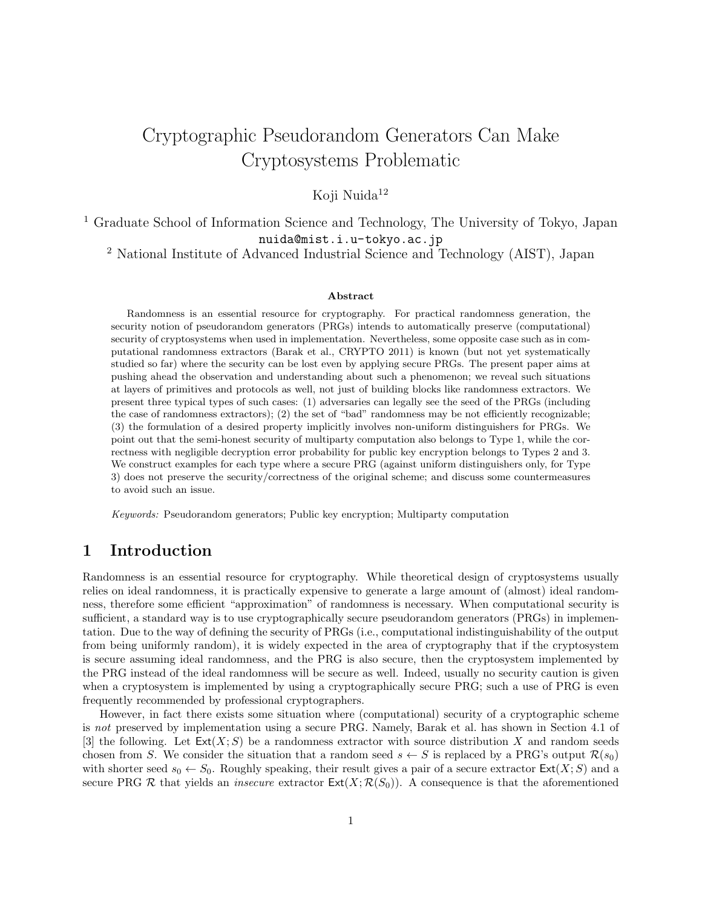# Cryptographic Pseudorandom Generators Can Make Cryptosystems Problematic

# Koji Nuida<sup>12</sup>

<sup>1</sup> Graduate School of Information Science and Technology, The University of Tokyo, Japan nuida@mist.i.u-tokyo.ac.jp <sup>2</sup> National Institute of Advanced Industrial Science and Technology (AIST), Japan

# Abstract

Randomness is an essential resource for cryptography. For practical randomness generation, the security notion of pseudorandom generators (PRGs) intends to automatically preserve (computational) security of cryptosystems when used in implementation. Nevertheless, some opposite case such as in computational randomness extractors (Barak et al., CRYPTO 2011) is known (but not yet systematically studied so far) where the security can be lost even by applying secure PRGs. The present paper aims at pushing ahead the observation and understanding about such a phenomenon; we reveal such situations at layers of primitives and protocols as well, not just of building blocks like randomness extractors. We present three typical types of such cases: (1) adversaries can legally see the seed of the PRGs (including the case of randomness extractors); (2) the set of "bad" randomness may be not efficiently recognizable; (3) the formulation of a desired property implicitly involves non-uniform distinguishers for PRGs. We point out that the semi-honest security of multiparty computation also belongs to Type 1, while the correctness with negligible decryption error probability for public key encryption belongs to Types 2 and 3. We construct examples for each type where a secure PRG (against uniform distinguishers only, for Type 3) does not preserve the security/correctness of the original scheme; and discuss some countermeasures to avoid such an issue.

Keywords: Pseudorandom generators; Public key encryption; Multiparty computation

## 1 Introduction

Randomness is an essential resource for cryptography. While theoretical design of cryptosystems usually relies on ideal randomness, it is practically expensive to generate a large amount of (almost) ideal randomness, therefore some efficient "approximation" of randomness is necessary. When computational security is sufficient, a standard way is to use cryptographically secure pseudorandom generators (PRGs) in implementation. Due to the way of defining the security of PRGs (i.e., computational indistinguishability of the output from being uniformly random), it is widely expected in the area of cryptography that if the cryptosystem is secure assuming ideal randomness, and the PRG is also secure, then the cryptosystem implemented by the PRG instead of the ideal randomness will be secure as well. Indeed, usually no security caution is given when a cryptosystem is implemented by using a cryptographically secure PRG; such a use of PRG is even frequently recommended by professional cryptographers.

However, in fact there exists some situation where (computational) security of a cryptographic scheme is not preserved by implementation using a secure PRG. Namely, Barak et al. has shown in Section 4.1 of [3] the following. Let  $Ext(X; S)$  be a randomness extractor with source distribution X and random seeds chosen from S. We consider the situation that a random seed  $s \leftarrow S$  is replaced by a PRG's output  $\mathcal{R}(s_0)$ with shorter seed  $s_0 \leftarrow S_0$ . Roughly speaking, their result gives a pair of a secure extractor  $\text{Ext}(X; S)$  and a secure PRG R that yields an *insecure* extractor  $Ext(X; R(S_0))$ . A consequence is that the aforementioned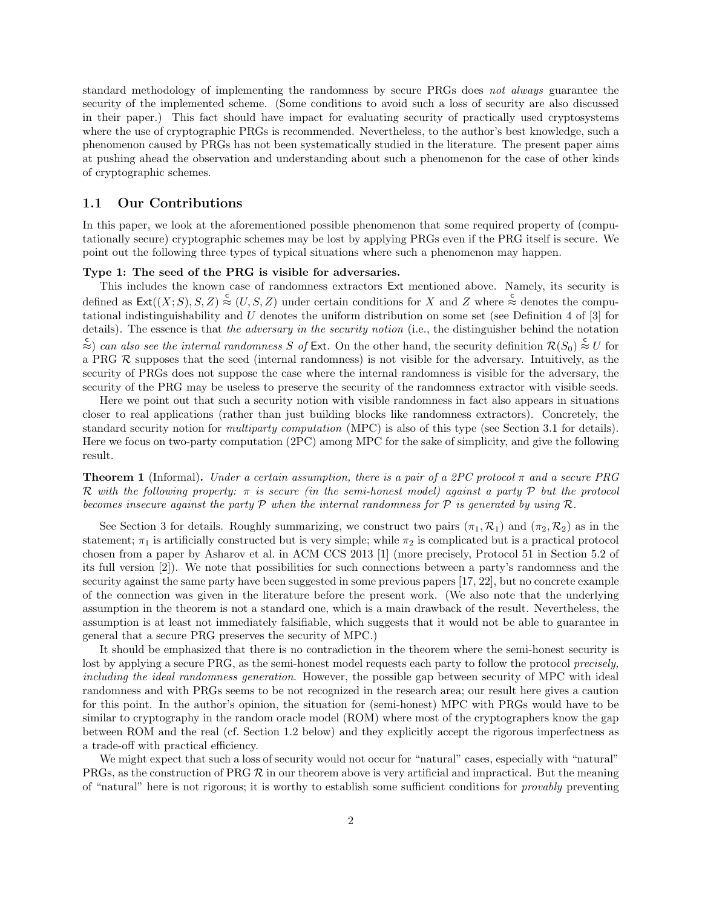standard methodology of implementing the randomness by secure PRGs does not always guarantee the security of the implemented scheme. (Some conditions to avoid such a loss of security are also discussed in their paper.) This fact should have impact for evaluating security of practically used cryptosystems where the use of cryptographic PRGs is recommended. Nevertheless, to the author's best knowledge, such a phenomenon caused by PRGs has not been systematically studied in the literature. The present paper aims at pushing ahead the observation and understanding about such a phenomenon for the case of other kinds of cryptographic schemes.

#### 1.1 Our Contributions

In this paper, we look at the aforementioned possible phenomenon that some required property of (computationally secure) cryptographic schemes may be lost by applying PRGs even if the PRG itself is secure. We point out the following three types of typical situations where such a phenomenon may happen.

#### Type 1: The seed of the PRG is visible for adversaries.

This includes the known case of randomness extractors Ext mentioned above. Namely, its security is defined as  $\textsf{Ext}((X;S),S,Z) \stackrel{\mathsf{c}}{\approx} (U, S, Z)$  under certain conditions for X and Z where  $\stackrel{\mathsf{c}}{\approx}$  denotes the computational indistinguishability and  $U$  denotes the uniform distribution on some set (see Definition 4 of [3] for details). The essence is that the adversary in the security notion (i.e., the distinguisher behind the notation  $\leqslant$ ) can also see the internal randomness S of Ext. On the other hand, the security definition  $\mathcal{R}(S_0) \stackrel{c}{\approx} U$  for a PRG R supposes that the seed (internal randomness) is not visible for the adversary. Intuitively, as the security of PRGs does not suppose the case where the internal randomness is visible for the adversary, the security of the PRG may be useless to preserve the security of the randomness extractor with visible seeds.

Here we point out that such a security notion with visible randomness in fact also appears in situations closer to real applications (rather than just building blocks like randomness extractors). Concretely, the standard security notion for multiparty computation (MPC) is also of this type (see Section 3.1 for details). Here we focus on two-party computation (2PC) among MPC for the sake of simplicity, and give the following result.

**Theorem 1** (Informal). Under a certain assumption, there is a pair of a 2PC protocol  $\pi$  and a secure PRG R with the following property:  $\pi$  is secure (in the semi-honest model) against a party P but the protocol becomes insecure against the party  $P$  when the internal randomness for  $P$  is generated by using  $R$ .

See Section 3 for details. Roughly summarizing, we construct two pairs  $(\pi_1, \mathcal{R}_1)$  and  $(\pi_2, \mathcal{R}_2)$  as in the statement;  $\pi_1$  is artificially constructed but is very simple; while  $\pi_2$  is complicated but is a practical protocol chosen from a paper by Asharov et al. in ACM CCS 2013 [1] (more precisely, Protocol 51 in Section 5.2 of its full version [2]). We note that possibilities for such connections between a party's randomness and the security against the same party have been suggested in some previous papers [17, 22], but no concrete example of the connection was given in the literature before the present work. (We also note that the underlying assumption in the theorem is not a standard one, which is a main drawback of the result. Nevertheless, the assumption is at least not immediately falsifiable, which suggests that it would not be able to guarantee in general that a secure PRG preserves the security of MPC.)

It should be emphasized that there is no contradiction in the theorem where the semi-honest security is lost by applying a secure PRG, as the semi-honest model requests each party to follow the protocol *precisely*, including the ideal randomness generation. However, the possible gap between security of MPC with ideal randomness and with PRGs seems to be not recognized in the research area; our result here gives a caution for this point. In the author's opinion, the situation for (semi-honest) MPC with PRGs would have to be similar to cryptography in the random oracle model (ROM) where most of the cryptographers know the gap between ROM and the real (cf. Section 1.2 below) and they explicitly accept the rigorous imperfectness as a trade-off with practical efficiency.

We might expect that such a loss of security would not occur for "natural" cases, especially with "natural" PRGs, as the construction of PRG  $R$  in our theorem above is very artificial and impractical. But the meaning of "natural" here is not rigorous; it is worthy to establish some sufficient conditions for provably preventing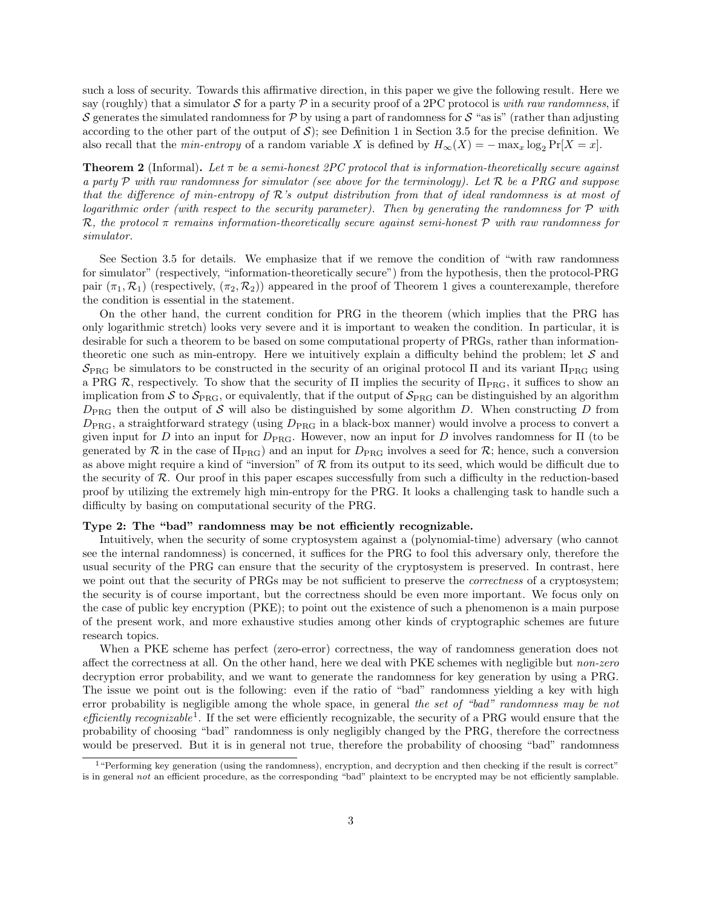such a loss of security. Towards this affirmative direction, in this paper we give the following result. Here we say (roughly) that a simulator S for a party  $P$  in a security proof of a 2PC protocol is with raw randomness, if S generates the simulated randomness for P by using a part of randomness for S "as is" (rather than adjusting according to the other part of the output of  $S$ ); see Definition 1 in Section 3.5 for the precise definition. We also recall that the *min-entropy* of a random variable X is defined by  $H_{\infty}(X) = -\max_{x} \log_2 \Pr[X = x]$ .

**Theorem 2** (Informal). Let  $\pi$  be a semi-honest 2PC protocol that is information-theoretically secure against a party  $\mathcal P$  with raw randomness for simulator (see above for the terminology). Let  $\mathcal R$  be a PRG and suppose that the difference of min-entropy of  $\mathcal R$ 's output distribution from that of ideal randomness is at most of logarithmic order (with respect to the security parameter). Then by generating the randomness for  $P$  with R, the protocol  $\pi$  remains information-theoretically secure against semi-honest P with raw randomness for simulator.

See Section 3.5 for details. We emphasize that if we remove the condition of "with raw randomness for simulator" (respectively, "information-theoretically secure") from the hypothesis, then the protocol-PRG pair  $(\pi_1, \mathcal{R}_1)$  (respectively,  $(\pi_2, \mathcal{R}_2)$ ) appeared in the proof of Theorem 1 gives a counterexample, therefore the condition is essential in the statement.

On the other hand, the current condition for PRG in the theorem (which implies that the PRG has only logarithmic stretch) looks very severe and it is important to weaken the condition. In particular, it is desirable for such a theorem to be based on some computational property of PRGs, rather than informationtheoretic one such as min-entropy. Here we intuitively explain a difficulty behind the problem; let  $S$  and  $S_{\text{PRG}}$  be simulators to be constructed in the security of an original protocol Π and its variant  $\Pi_{\text{PRG}}$  using a PRG R, respectively. To show that the security of  $\Pi$  implies the security of  $\Pi_{\text{PRG}}$ , it suffices to show an implication from S to  $S_{\text{PRG}}$ , or equivalently, that if the output of  $S_{\text{PRG}}$  can be distinguished by an algorithm  $D_{\text{PRG}}$  then the output of S will also be distinguished by some algorithm D. When constructing D from  $D_{\text{PRG}}$ , a straightforward strategy (using  $D_{\text{PRG}}$  in a black-box manner) would involve a process to convert a given input for D into an input for  $D_{\text{PRG}}$ . However, now an input for D involves randomness for  $\Pi$  (to be generated by  $\mathcal R$  in the case of  $\Pi_{\rm PRG}$ ) and an input for  $D_{\rm PRG}$  involves a seed for  $\mathcal R$ ; hence, such a conversion as above might require a kind of "inversion" of  $R$  from its output to its seed, which would be difficult due to the security of R. Our proof in this paper escapes successfully from such a difficulty in the reduction-based proof by utilizing the extremely high min-entropy for the PRG. It looks a challenging task to handle such a difficulty by basing on computational security of the PRG.

#### Type 2: The "bad" randomness may be not efficiently recognizable.

Intuitively, when the security of some cryptosystem against a (polynomial-time) adversary (who cannot see the internal randomness) is concerned, it suffices for the PRG to fool this adversary only, therefore the usual security of the PRG can ensure that the security of the cryptosystem is preserved. In contrast, here we point out that the security of PRGs may be not sufficient to preserve the *correctness* of a cryptosystem; the security is of course important, but the correctness should be even more important. We focus only on the case of public key encryption (PKE); to point out the existence of such a phenomenon is a main purpose of the present work, and more exhaustive studies among other kinds of cryptographic schemes are future research topics.

When a PKE scheme has perfect (zero-error) correctness, the way of randomness generation does not affect the correctness at all. On the other hand, here we deal with PKE schemes with negligible but non-zero decryption error probability, and we want to generate the randomness for key generation by using a PRG. The issue we point out is the following: even if the ratio of "bad" randomness yielding a key with high error probability is negligible among the whole space, in general the set of "bad" randomness may be not *efficiently recognizable*<sup>1</sup>. If the set were efficiently recognizable, the security of a PRG would ensure that the probability of choosing "bad" randomness is only negligibly changed by the PRG, therefore the correctness would be preserved. But it is in general not true, therefore the probability of choosing "bad" randomness

<sup>&</sup>lt;sup>1</sup> "Performing key generation (using the randomness), encryption, and decryption and then checking if the result is correct" is in general not an efficient procedure, as the corresponding "bad" plaintext to be encrypted may be not efficiently samplable.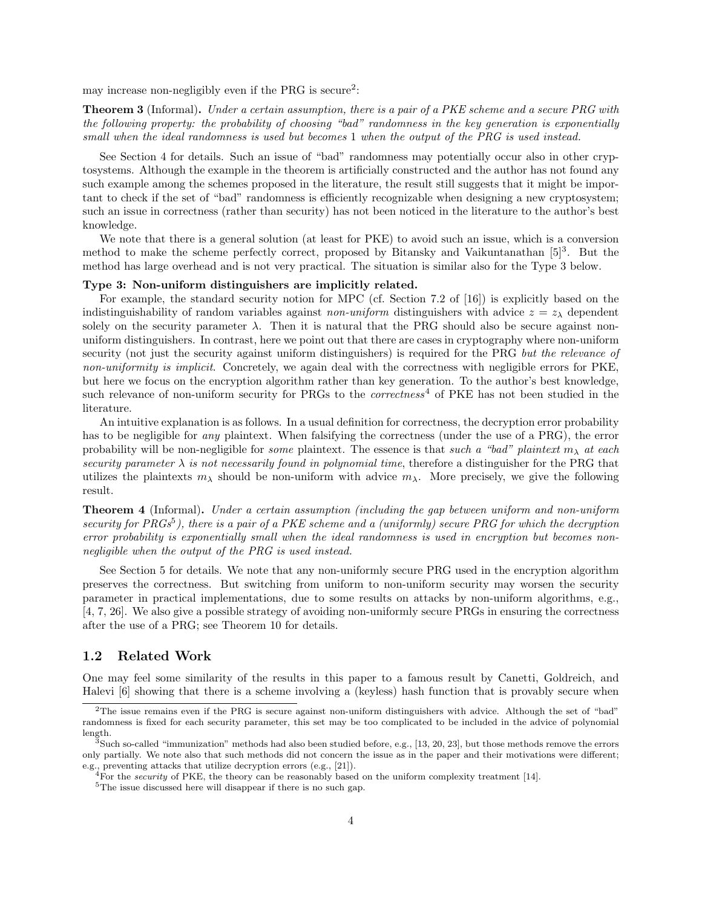may increase non-negligibly even if the PRG is secure<sup>2</sup>:

**Theorem 3** (Informal). Under a certain assumption, there is a pair of a PKE scheme and a secure PRG with the following property: the probability of choosing "bad" randomness in the key generation is exponentially small when the ideal randomness is used but becomes 1 when the output of the PRG is used instead.

See Section 4 for details. Such an issue of "bad" randomness may potentially occur also in other cryptosystems. Although the example in the theorem is artificially constructed and the author has not found any such example among the schemes proposed in the literature, the result still suggests that it might be important to check if the set of "bad" randomness is efficiently recognizable when designing a new cryptosystem; such an issue in correctness (rather than security) has not been noticed in the literature to the author's best knowledge.

We note that there is a general solution (at least for PKE) to avoid such an issue, which is a conversion method to make the scheme perfectly correct, proposed by Bitansky and Vaikuntanathan  $[5]^3$ . But the method has large overhead and is not very practical. The situation is similar also for the Type 3 below.

#### Type 3: Non-uniform distinguishers are implicitly related.

For example, the standard security notion for MPC (cf. Section 7.2 of [16]) is explicitly based on the indistinguishability of random variables against *non-uniform* distinguishers with advice  $z = z<sub>\lambda</sub>$  dependent solely on the security parameter  $\lambda$ . Then it is natural that the PRG should also be secure against nonuniform distinguishers. In contrast, here we point out that there are cases in cryptography where non-uniform security (not just the security against uniform distinguishers) is required for the PRG but the relevance of non-uniformity is implicit. Concretely, we again deal with the correctness with negligible errors for PKE, but here we focus on the encryption algorithm rather than key generation. To the author's best knowledge, such relevance of non-uniform security for PRGs to the *correctness*<sup>4</sup> of PKE has not been studied in the literature.

An intuitive explanation is as follows. In a usual definition for correctness, the decryption error probability has to be negligible for *any* plaintext. When falsifying the correctness (under the use of a PRG), the error probability will be non-negligible for *some* plaintext. The essence is that such a "bad" plaintext  $m<sub>\lambda</sub>$  at each security parameter  $\lambda$  is not necessarily found in polynomial time, therefore a distinguisher for the PRG that utilizes the plaintexts  $m_\lambda$  should be non-uniform with advice  $m_\lambda$ . More precisely, we give the following result.

Theorem 4 (Informal). Under a certain assumption (including the gap between uniform and non-uniform security for  $PRGs<sup>5</sup>$ ), there is a pair of a PKE scheme and a (uniformly) secure PRG for which the decryption error probability is exponentially small when the ideal randomness is used in encryption but becomes nonnegligible when the output of the PRG is used instead.

See Section 5 for details. We note that any non-uniformly secure PRG used in the encryption algorithm preserves the correctness. But switching from uniform to non-uniform security may worsen the security parameter in practical implementations, due to some results on attacks by non-uniform algorithms, e.g., [4, 7, 26]. We also give a possible strategy of avoiding non-uniformly secure PRGs in ensuring the correctness after the use of a PRG; see Theorem 10 for details.

#### 1.2 Related Work

One may feel some similarity of the results in this paper to a famous result by Canetti, Goldreich, and Halevi [6] showing that there is a scheme involving a (keyless) hash function that is provably secure when

<sup>2</sup>The issue remains even if the PRG is secure against non-uniform distinguishers with advice. Although the set of "bad" randomness is fixed for each security parameter, this set may be too complicated to be included in the advice of polynomial length.

 ${}^{3}$ Such so-called "immunization" methods had also been studied before, e.g., [13, 20, 23], but those methods remove the errors only partially. We note also that such methods did not concern the issue as in the paper and their motivations were different; e.g., preventing attacks that utilize decryption errors (e.g., [21]).

 ${}^{4}$ For the security of PKE, the theory can be reasonably based on the uniform complexity treatment [14].

<sup>5</sup>The issue discussed here will disappear if there is no such gap.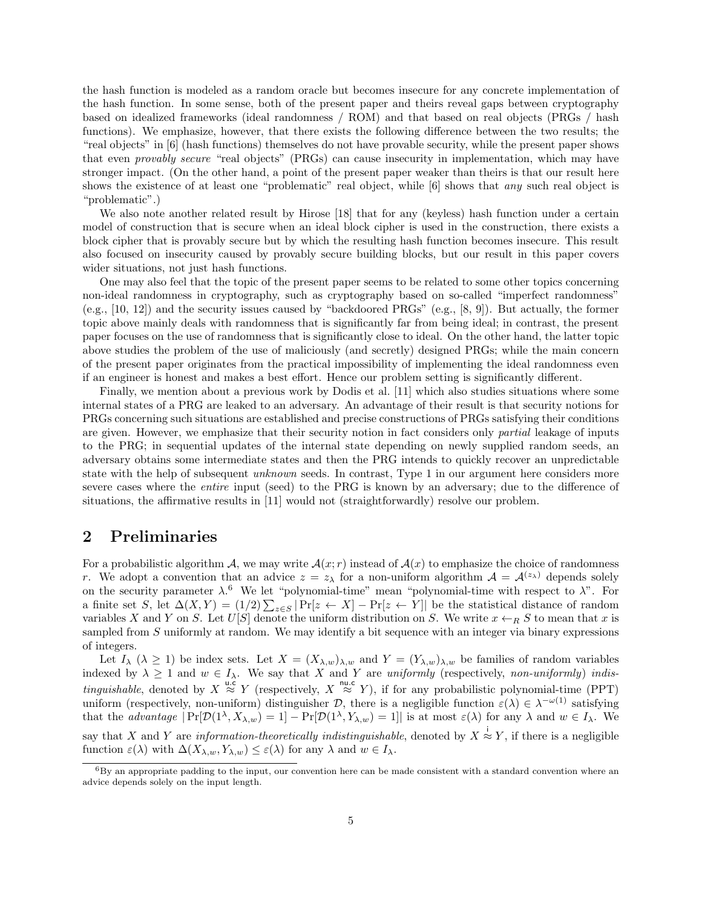the hash function is modeled as a random oracle but becomes insecure for any concrete implementation of the hash function. In some sense, both of the present paper and theirs reveal gaps between cryptography based on idealized frameworks (ideal randomness / ROM) and that based on real objects (PRGs / hash functions). We emphasize, however, that there exists the following difference between the two results; the "real objects" in [6] (hash functions) themselves do not have provable security, while the present paper shows that even provably secure "real objects" (PRGs) can cause insecurity in implementation, which may have stronger impact. (On the other hand, a point of the present paper weaker than theirs is that our result here shows the existence of at least one "problematic" real object, while [6] shows that any such real object is "problematic".)

We also note another related result by Hirose [18] that for any (keyless) hash function under a certain model of construction that is secure when an ideal block cipher is used in the construction, there exists a block cipher that is provably secure but by which the resulting hash function becomes insecure. This result also focused on insecurity caused by provably secure building blocks, but our result in this paper covers wider situations, not just hash functions.

One may also feel that the topic of the present paper seems to be related to some other topics concerning non-ideal randomness in cryptography, such as cryptography based on so-called "imperfect randomness" (e.g., [10, 12]) and the security issues caused by "backdoored PRGs" (e.g., [8, 9]). But actually, the former topic above mainly deals with randomness that is significantly far from being ideal; in contrast, the present paper focuses on the use of randomness that is significantly close to ideal. On the other hand, the latter topic above studies the problem of the use of maliciously (and secretly) designed PRGs; while the main concern of the present paper originates from the practical impossibility of implementing the ideal randomness even if an engineer is honest and makes a best effort. Hence our problem setting is significantly different.

Finally, we mention about a previous work by Dodis et al. [11] which also studies situations where some internal states of a PRG are leaked to an adversary. An advantage of their result is that security notions for PRGs concerning such situations are established and precise constructions of PRGs satisfying their conditions are given. However, we emphasize that their security notion in fact considers only *partial* leakage of inputs to the PRG; in sequential updates of the internal state depending on newly supplied random seeds, an adversary obtains some intermediate states and then the PRG intends to quickly recover an unpredictable state with the help of subsequent *unknown* seeds. In contrast, Type 1 in our argument here considers more severe cases where the entire input (seed) to the PRG is known by an adversary; due to the difference of situations, the affirmative results in [11] would not (straightforwardly) resolve our problem.

### 2 Preliminaries

For a probabilistic algorithm A, we may write  $A(x; r)$  instead of  $A(x)$  to emphasize the choice of randomness r. We adopt a convention that an advice  $z = z_\lambda$  for a non-uniform algorithm  $\mathcal{A} = \mathcal{A}^{(z_\lambda)}$  depends solely on the security parameter  $\lambda$ .<sup>6</sup> We let "polynomial-time" mean "polynomial-time with respect to  $\lambda$ ". For a finite set S, let  $\Delta(X,Y) = (1/2) \sum_{z \in S} |Pr[z \leftarrow X] - Pr[z \leftarrow Y]|$  be the statistical distance of random variables X and Y on S. Let U[S] denote the uniform distribution on S. We write  $x \leftarrow_R S$  to mean that x is sampled from S uniformly at random. We may identify a bit sequence with an integer via binary expressions of integers.

Let  $I_{\lambda}$  ( $\lambda \geq 1$ ) be index sets. Let  $X = (X_{\lambda,w})_{\lambda,w}$  and  $Y = (Y_{\lambda,w})_{\lambda,w}$  be families of random variables indexed by  $\lambda \geq 1$  and  $w \in I_{\lambda}$ . We say that X and Y are uniformly (respectively, non-uniformly) indis*tinguishable*, denoted by  $X \stackrel{\text{u.c}}{\approx} Y$  (respectively,  $X \stackrel{\text{nu.c}}{\approx} Y$ ), if for any probabilistic polynomial-time (PPT) uniform (respectively, non-uniform) distinguisher D, there is a negligible function  $\varepsilon(\lambda) \in \lambda^{-\omega(1)}$  satisfying that the *advantage*  $|\Pr[\mathcal{D}(1^{\lambda}, X_{\lambda,w}) = 1] - \Pr[\mathcal{D}(1^{\lambda}, Y_{\lambda,w}) = 1]|$  is at most  $\varepsilon(\lambda)$  for any  $\lambda$  and  $w \in I_{\lambda}$ . We say that X and Y are *information-theoretically indistinguishable*, denoted by  $X \stackrel{i}{\approx} Y$ , if there is a negligible function  $\varepsilon(\lambda)$  with  $\Delta(X_{\lambda,w}, Y_{\lambda,w}) \leq \varepsilon(\lambda)$  for any  $\lambda$  and  $w \in I_{\lambda}$ .

 $6By$  an appropriate padding to the input, our convention here can be made consistent with a standard convention where an advice depends solely on the input length.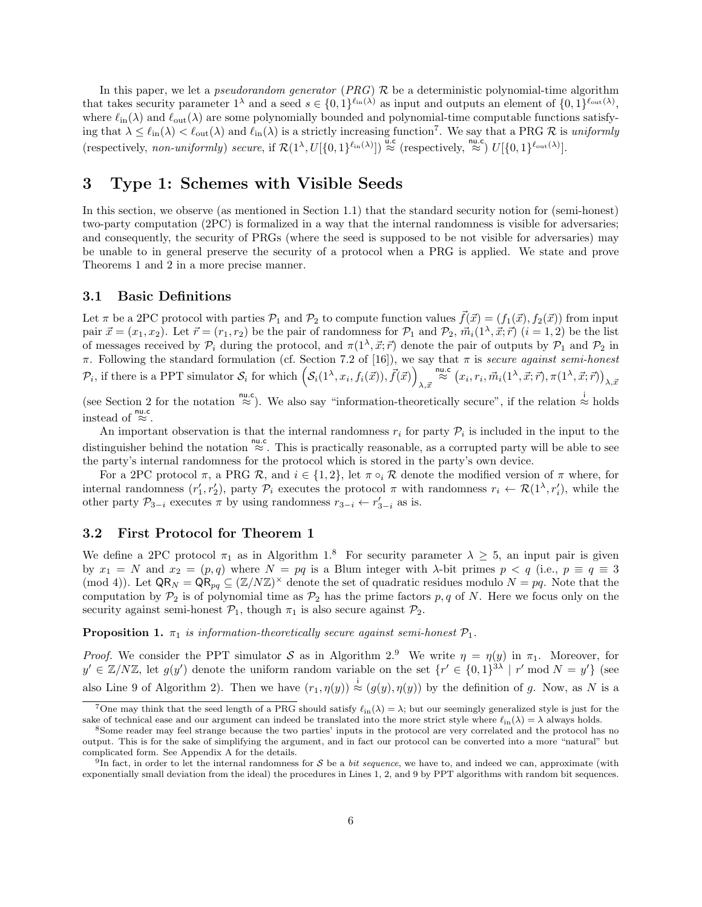In this paper, we let a *pseudorandom generator* (*PRG*)  $\mathcal{R}$  be a deterministic polynomial-time algorithm that takes security parameter  $1^{\lambda}$  and a seed  $s \in \{0,1\}^{\ell_{\text{in}}(\lambda)}$  as input and outputs an element of  $\{0,1\}^{\ell_{\text{out}}(\lambda)}$ , where  $\ell_{\rm in}(\lambda)$  and  $\ell_{\rm out}(\lambda)$  are some polynomially bounded and polynomial-time computable functions satisfying that  $\lambda \leq \ell_{\text{in}}(\lambda) < \ell_{\text{out}}(\lambda)$  and  $\ell_{\text{in}}(\lambda)$  is a strictly increasing function<sup>7</sup>. We say that a PRG R is uniformly  $(\text{respectively, non-uniformly}) \; secure, \; \text{if} \; \mathcal{R}(1^{\lambda}, U[\{0,1\}^{\ell_{\text{in}}(\lambda)}]) \overset{\text{u.c}}{\approx} (\text{respectively, } \overset{\text{nu.c}}{\approx} U[\{0,1\}^{\ell_{\text{out}}(\lambda)}].$ 

# 3 Type 1: Schemes with Visible Seeds

In this section, we observe (as mentioned in Section 1.1) that the standard security notion for (semi-honest) two-party computation (2PC) is formalized in a way that the internal randomness is visible for adversaries; and consequently, the security of PRGs (where the seed is supposed to be not visible for adversaries) may be unable to in general preserve the security of a protocol when a PRG is applied. We state and prove Theorems 1 and 2 in a more precise manner.

#### 3.1 Basic Definitions

Let  $\pi$  be a 2PC protocol with parties  $\mathcal{P}_1$  and  $\mathcal{P}_2$  to compute function values  $\vec{f}(\vec{x}) = (f_1(\vec{x}), f_2(\vec{x}))$  from input pair  $\vec{x} = (x_1, x_2)$ . Let  $\vec{r} = (r_1, r_2)$  be the pair of randomness for  $\mathcal{P}_1$  and  $\mathcal{P}_2$ ,  $\vec{m}_i(1^\lambda, \vec{x}; \vec{r})$   $(i = 1, 2)$  be the list of messages received by  $P_i$  during the protocol, and  $\pi(1^{\lambda}, \vec{x}; \vec{r})$  denote the pair of outputs by  $P_1$  and  $P_2$  in π. Following the standard formulation (cf. Section 7.2 of [16]), we say that  $\pi$  is secure against semi-honest  $\mathcal{P}_i$ , if there is a PPT simulator  $\mathcal{S}_i$  for which  $(\mathcal{S}_i(1^\lambda, x_i, f_i(\vec{x})), \vec{f}(\vec{x}))$  $\stackrel{\mathsf{nu.c}}{\approx} \left(x_i, r_i, \vec{m}_i(1^\lambda, \vec{x}; \vec{r}), \pi(1^\lambda, \vec{x}; \vec{r})\right)_{\lambda, \vec{x}}$ 

(see Section 2 for the notation  $\stackrel{\text{nu.c}}{\approx}$ ). We also say "information-theoretically secure", if the relation  $\stackrel{i}{\approx}$  holds instead of  $\stackrel{\text{nu.c}}{\approx}$ .

 $_{\lambda ,\vec{x}}$ 

An important observation is that the internal randomness  $r_i$  for party  $\mathcal{P}_i$  is included in the input to the distinguisher behind the notation  $\approx$ . This is practically reasonable, as a corrupted party will be able to see the party's internal randomness for the protocol which is stored in the party's own device.

For a 2PC protocol  $\pi$ , a PRG R, and  $i \in \{1,2\}$ , let  $\pi \circ_i \mathcal{R}$  denote the modified version of  $\pi$  where, for internal randomness  $(r'_1, r'_2)$ , party  $\mathcal{P}_i$  executes the protocol  $\pi$  with randomness  $r_i \leftarrow \mathcal{R}(1^{\lambda}, r'_i)$ , while the other party  $\mathcal{P}_{3-i}$  executes  $\pi$  by using randomness  $r_{3-i} \leftarrow r'_{3-i}$  as is.

#### 3.2 First Protocol for Theorem 1

We define a 2PC protocol  $\pi_1$  as in Algorithm 1.<sup>8</sup> For security parameter  $\lambda \geq 5$ , an input pair is given by  $x_1 = N$  and  $x_2 = (p, q)$  where  $N = pq$  is a Blum integer with  $\lambda$ -bit primes  $p < q$  (i.e.,  $p \equiv q \equiv 3$ (mod 4)). Let  $QR_N = QR_{pq} \subseteq (\mathbb{Z}/N\mathbb{Z})^{\times}$  denote the set of quadratic residues modulo  $N = pq$ . Note that the computation by  $\mathcal{P}_2$  is of polynomial time as  $\mathcal{P}_2$  has the prime factors p, q of N. Here we focus only on the security against semi-honest  $\mathcal{P}_1$ , though  $\pi_1$  is also secure against  $\mathcal{P}_2$ .

**Proposition 1.**  $\pi_1$  is information-theoretically secure against semi-honest  $\mathcal{P}_1$ .

*Proof.* We consider the PPT simulator S as in Algorithm 2.<sup>9</sup> We write  $\eta = \eta(y)$  in  $\pi_1$ . Moreover, for  $y' \in \mathbb{Z}/N\mathbb{Z}$ , let  $g(y')$  denote the uniform random variable on the set  $\{r' \in \{0,1\}^{3\lambda} \mid r' \mod N = y'\}$  (see also Line 9 of Algorithm 2). Then we have  $(r_1, \eta(y)) \stackrel{i}{\approx} (g(y), \eta(y))$  by the definition of g. Now, as N is a

<sup>&</sup>lt;sup>7</sup>One may think that the seed length of a PRG should satisfy  $\ell_{in}(\lambda) = \lambda$ ; but our seemingly generalized style is just for the sake of technical ease and our argument can indeed be translated into the more strict style where  $\ell_{in}(\lambda) = \lambda$  always holds.

<sup>&</sup>lt;sup>8</sup>Some reader may feel strange because the two parties' inputs in the protocol are very correlated and the protocol has no output. This is for the sake of simplifying the argument, and in fact our protocol can be converted into a more "natural" but complicated form. See Appendix A for the details.

<sup>&</sup>lt;sup>9</sup>In fact, in order to let the internal randomness for S be a *bit sequence*, we have to, and indeed we can, approximate (with exponentially small deviation from the ideal) the procedures in Lines 1, 2, and 9 by PPT algorithms with random bit sequences.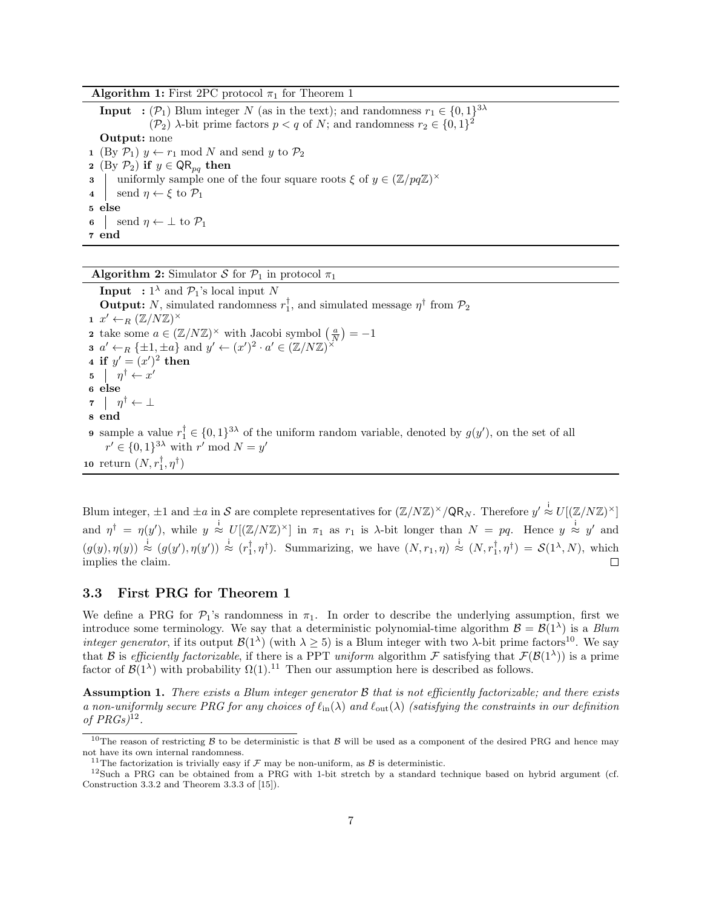**Algorithm 1:** First 2PC protocol  $\pi_1$  for Theorem 1

**Input** :  $(\mathcal{P}_1)$  Blum integer N (as in the text); and randomness  $r_1 \in \{0,1\}^{3\lambda}$  $(\mathcal{P}_2)$   $\lambda$ -bit prime factors  $p < q$  of  $N$ ; and randomness  $r_2 \in \{0, 1\}^2$ Output: none 1 (By  $\mathcal{P}_1$ )  $y \leftarrow r_1 \mod N$  and send y to  $\mathcal{P}_2$ 2 (By  $\mathcal{P}_2$ ) if  $y \in \mathsf{QR}_{pq}$  then **3** uniformly sample one of the four square roots  $\xi$  of  $y \in (\mathbb{Z}/pq\mathbb{Z})^{\times}$ 4 send  $\eta \leftarrow \xi$  to  $\mathcal{P}_1$ 5 else 6 send  $\eta \leftarrow \perp$  to  $\mathcal{P}_1$ 7 end

#### **Algorithm 2:** Simulator S for  $\mathcal{P}_1$  in protocol  $\pi_1$

**Input** :  $1^{\lambda}$  and  $\mathcal{P}_1$ 's local input N **Output:** N, simulated randomness  $r_1^{\dagger}$ , and simulated message  $\eta^{\dagger}$  from  $\mathcal{P}_2$  $x' \leftarrow_R (\mathbb{Z}/N\mathbb{Z})^{\times}$ **2** take some  $a \in (\mathbb{Z}/N\mathbb{Z})^{\times}$  with Jacobi symbol  $\left(\frac{a}{N}\right) = -1$ **3**  $a' \leftarrow_R {\{\pm 1, \pm a\}}$  and  $y' \leftarrow (x')^2 \cdot a' \in (\mathbb{Z}/N\mathbb{Z})^{\times}$ 4 if  $y' = (x')^2$  then 5  $\eta^{\dagger} \leftarrow x'$ 6 else  $\tau$  |  $\eta^\dagger \leftarrow \bot$ 8 end **9** sample a value  $r_1^{\dagger} \in \{0,1\}^{3\lambda}$  of the uniform random variable, denoted by  $g(y')$ , on the set of all  $r' \in \{0,1\}^{3\lambda}$  with r' mod  $N = y'$ 10 return  $(N, r_1^{\dagger}, \eta^{\dagger})$ 

Blum integer,  $\pm 1$  and  $\pm a$  in S are complete representatives for  $(\mathbb{Z}/N\mathbb{Z})^{\times}/QR_N$ . Therefore  $y' \stackrel{i}{\approx} U[(\mathbb{Z}/N\mathbb{Z})^{\times}]$ and  $\eta^{\dagger} = \eta(y')$ , while  $y \stackrel{i}{\approx} U[(\mathbb{Z}/N\mathbb{Z})^{\times}]$  in  $\pi_1$  as  $r_1$  is  $\lambda$ -bit longer than  $N = pq$ . Hence  $y \stackrel{i}{\approx} y'$  and  $(g(y), \eta(y)) \stackrel{\mathsf{i}}{\approx} (g(y'), \eta(y')) \stackrel{\mathsf{i}}{\approx} (r_1^{\dagger}, \eta^{\dagger})$ . Summarizing, we have  $(N, r_1, \eta) \stackrel{\mathsf{i}}{\approx} (N, r_1^{\dagger}, \eta^{\dagger}) = \mathcal{S}(1^{\lambda}, N)$ , which implies the claim.

### 3.3 First PRG for Theorem 1

We define a PRG for  $\mathcal{P}_1$ 's randomness in  $\pi_1$ . In order to describe the underlying assumption, first we introduce some terminology. We say that a deterministic polynomial-time algorithm  $\mathcal{B} = \mathcal{B}(1^{\lambda})$  is a Blum *integer generator*, if its output  $\mathcal{B}(1^{\lambda})$  (with  $\lambda \geq 5$ ) is a Blum integer with two  $\lambda$ -bit prime factors<sup>10</sup>. We say that B is efficiently factorizable, if there is a PPT uniform algorithm F satisfying that  $\mathcal{F}(\mathcal{B}(1^{\lambda}))$  is a prime factor of  $\mathcal{B}(1^{\lambda})$  with probability  $\Omega(1)$ .<sup>11</sup> Then our assumption here is described as follows.

Assumption 1. There exists a Blum integer generator B that is not efficiently factorizable; and there exists a non-uniformly secure PRG for any choices of  $\ell_{\rm in}(\lambda)$  and  $\ell_{\rm out}(\lambda)$  (satisfying the constraints in our definition of  $PRGs)^{12}$ .

<sup>&</sup>lt;sup>10</sup>The reason of restricting  $\beta$  to be deterministic is that  $\beta$  will be used as a component of the desired PRG and hence may not have its own internal randomness.

<sup>&</sup>lt;sup>11</sup>The factorization is trivially easy if  $\mathcal F$  may be non-uniform, as  $\mathcal B$  is deterministic.

 $12$ Such a PRG can be obtained from a PRG with 1-bit stretch by a standard technique based on hybrid argument (cf. Construction 3.3.2 and Theorem 3.3.3 of [15]).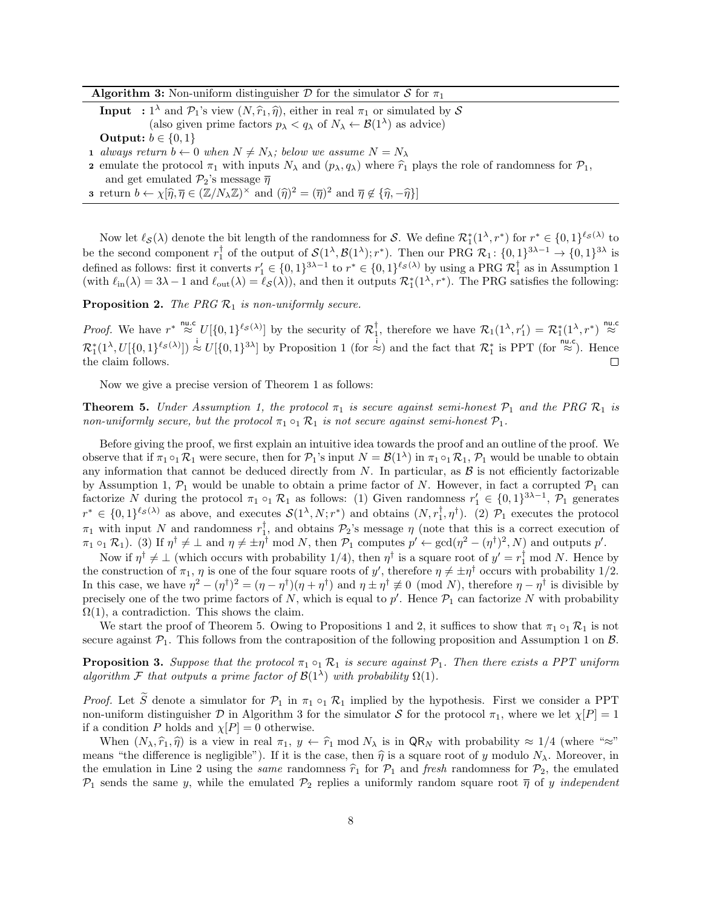| <b>Algorithm 3:</b> Non-uniform distinguisher $\mathcal{D}$ for the simulator $\mathcal{S}$ for $\pi_1$ |  |  |
|---------------------------------------------------------------------------------------------------------|--|--|
|---------------------------------------------------------------------------------------------------------|--|--|

**Input** :  $1^{\lambda}$  and  $\mathcal{P}_1$ 's view  $(N, \hat{r}_1, \hat{\eta})$ , either in real  $\pi_1$  or simulated by S (also given prime factors  $p_1 \leq q_2$  of  $N_1 \leftarrow \mathcal{B}(1^{\lambda})$  as advice) (also given prime factors  $p_{\lambda} < q_{\lambda}$  of  $N_{\lambda} \leftarrow \mathcal{B}(1^{\lambda})$  as advice) Output:  $b \in \{0, 1\}$ 1 always return  $b \leftarrow 0$  when  $N \neq N_{\lambda}$ ; below we assume  $N = N_{\lambda}$ **2** emulate the protocol  $\pi_1$  with inputs  $N_\lambda$  and  $(p_\lambda, q_\lambda)$  where  $\hat{r}_1$  plays the role of randomness for  $\mathcal{P}_1$ , and get emulated  $\mathcal{P}_2$ 's message  $\overline{\eta}$ **3** return  $b \leftarrow \chi[\hat{\eta}, \overline{\eta} \in (\mathbb{Z}/N_{\lambda}\mathbb{Z})^{\times}$  and  $(\hat{\eta})^2 = (\overline{\eta})^2$  and  $\overline{\eta} \notin \{\hat{\eta}, -\hat{\eta}\}\$ 

Now let  $\ell_{\mathcal{S}}(\lambda)$  denote the bit length of the randomness for S. We define  $\mathcal{R}_1^*(1^\lambda, r^*)$  for  $r^* \in \{0,1\}^{\ell_{\mathcal{S}}(\lambda)}$  to be the second component  $r_1^{\dagger}$  of the output of  $\mathcal{S}(1^{\lambda}, \mathcal{B}(1^{\lambda}); r^*)$ . Then our PRG  $\mathcal{R}_1$ :  $\{0, 1\}^{3\lambda - 1} \to \{0, 1\}^{3\lambda}$  is defined as follows: first it converts  $r'_1 \in \{0,1\}^{3\lambda-1}$  to  $r^* \in \{0,1\}^{\ell_S(\lambda)}$  by using a PRG  $\mathcal{R}_1^{\dagger}$  as in Assumption 1 (with  $\ell_{in}(\lambda) = 3\lambda - 1$  and  $\ell_{out}(\lambda) = \ell_{\mathcal{S}}(\lambda)$ ), and then it outputs  $\mathcal{R}_1^*(1^{\lambda}, r^*)$ . The PRG satisfies the following:

**Proposition 2.** The PRG  $\mathcal{R}_1$  is non-uniformly secure.

*Proof.* We have  $r^* \approx U[\{0,1\}^{\ell_S(\lambda)}]$  by the security of  $\mathcal{R}_1^{\dagger}$ , therefore we have  $\mathcal{R}_1(1^{\lambda}, r_1') = \mathcal{R}_1^*(1^{\lambda}, r^*) \approx$  $\mathcal{R}_1^*(1^{\lambda}, U[\{0,1\}^{\ell_S(\lambda)}]) \stackrel{i}{\approx} U[\{0,1\}^{3\lambda}]$  by Proposition 1 (for  $\stackrel{i}{\approx}$ ) and the fact that  $\mathcal{R}_1^*$  is PPT (for  $\stackrel{\text{nu.c}}{\approx}$ ). Hence the claim follows.

Now we give a precise version of Theorem 1 as follows:

**Theorem 5.** Under Assumption 1, the protocol  $\pi_1$  is secure against semi-honest  $\mathcal{P}_1$  and the PRG  $\mathcal{R}_1$  is non-uniformly secure, but the protocol  $\pi_1 \circ_1 \mathcal{R}_1$  is not secure against semi-honest  $\mathcal{P}_1$ .

Before giving the proof, we first explain an intuitive idea towards the proof and an outline of the proof. We observe that if  $\pi_1 \circ_1 \mathcal{R}_1$  were secure, then for  $\mathcal{P}_1$ 's input  $N = \mathcal{B}(1^{\lambda})$  in  $\pi_1 \circ_1 \mathcal{R}_1$ ,  $\mathcal{P}_1$  would be unable to obtain any information that cannot be deduced directly from  $N$ . In particular, as  $\beta$  is not efficiently factorizable by Assumption 1,  $\mathcal{P}_1$  would be unable to obtain a prime factor of N. However, in fact a corrupted  $\mathcal{P}_1$  can factorize N during the protocol  $\pi_1 \circ_1 \mathcal{R}_1$  as follows: (1) Given randomness  $r'_1 \in \{0,1\}^{3\lambda-1}$ ,  $\mathcal{P}_1$  generates  $r^* \in \{0,1\}^{\ell_S(\lambda)}$  as above, and executes  $\mathcal{S}(1^{\lambda}, N; r^*)$  and obtains  $(N, r_1^{\dagger}, \eta^{\dagger})$ . (2)  $\mathcal{P}_1$  executes the protocol  $\pi_1$  with input N and randomness  $r_1^{\dagger}$ , and obtains  $\mathcal{P}_2$ 's message  $\eta$  (note that this is a correct execution of  $\pi_1 \circ_1 \mathcal{R}_1$ ). (3) If  $\eta^{\dagger} \neq \bot$  and  $\eta \neq \pm \eta^{\dagger}$  mod N, then  $\mathcal{P}_1$  computes  $p' \leftarrow \gcd(\eta^2 - (\eta^{\dagger})^2, N)$  and outputs  $p'$ .

Now if  $\eta^{\dagger} \neq \perp$  (which occurs with probability 1/4), then  $\eta^{\dagger}$  is a square root of  $y' = r_1^{\dagger}$  mod N. Hence by the construction of  $\pi_1$ ,  $\eta$  is one of the four square roots of y', therefore  $\eta \neq \pm \eta^{\dagger}$  occurs with probability 1/2. In this case, we have  $\eta^2 - (\eta^{\dagger})^2 = (\eta - \eta^{\dagger})(\eta + \eta^{\dagger})$  and  $\eta \pm \eta^{\dagger} \neq 0$  (mod N), therefore  $\eta - \eta^{\dagger}$  is divisible by precisely one of the two prime factors of N, which is equal to  $p'$ . Hence  $\mathcal{P}_1$  can factorize N with probability  $\Omega(1)$ , a contradiction. This shows the claim.

We start the proof of Theorem 5. Owing to Propositions 1 and 2, it suffices to show that  $\pi_1 \circ_1 \mathcal{R}_1$  is not secure against  $\mathcal{P}_1$ . This follows from the contraposition of the following proposition and Assumption 1 on  $\mathcal{B}$ .

**Proposition 3.** Suppose that the protocol  $\pi_1 \circ_1 \mathcal{R}_1$  is secure against  $\mathcal{P}_1$ . Then there exists a PPT uniform algorithm F that outputs a prime factor of  $\mathcal{B}(1^{\lambda})$  with probability  $\Omega(1)$ .

*Proof.* Let S denote a simulator for  $\mathcal{P}_1$  in  $\pi_1 \circ_1 \mathcal{R}_1$  implied by the hypothesis. First we consider a PPT non-uniform distinguisher D in Algorithm 3 for the simulator S for the protocol  $\pi_1$ , where we let  $\chi[P] = 1$ if a condition P holds and  $\chi[P] = 0$  otherwise.

When  $(N_\lambda, \hat{r}_1, \hat{\eta})$  is a view in real  $\pi_1, y \leftarrow \hat{r}_1 \mod N_\lambda$  is in  $\mathsf{QR}_N$  with probability  $\approx 1/4$  (where " $\approx$ " means "the difference is negligible"). If it is the case, then  $\hat{\eta}$  is a square root of y modulo  $N_{\lambda}$ . Moreover, in the emulation in Line 2 using the *same* randomness  $\hat{r}_1$  for  $\mathcal{P}_1$  and fresh randomness for  $\mathcal{P}_2$ , the emulated  $P_1$  sends the same y, while the emulated  $P_2$  replies a uniformly random square root  $\bar{\eta}$  of y independent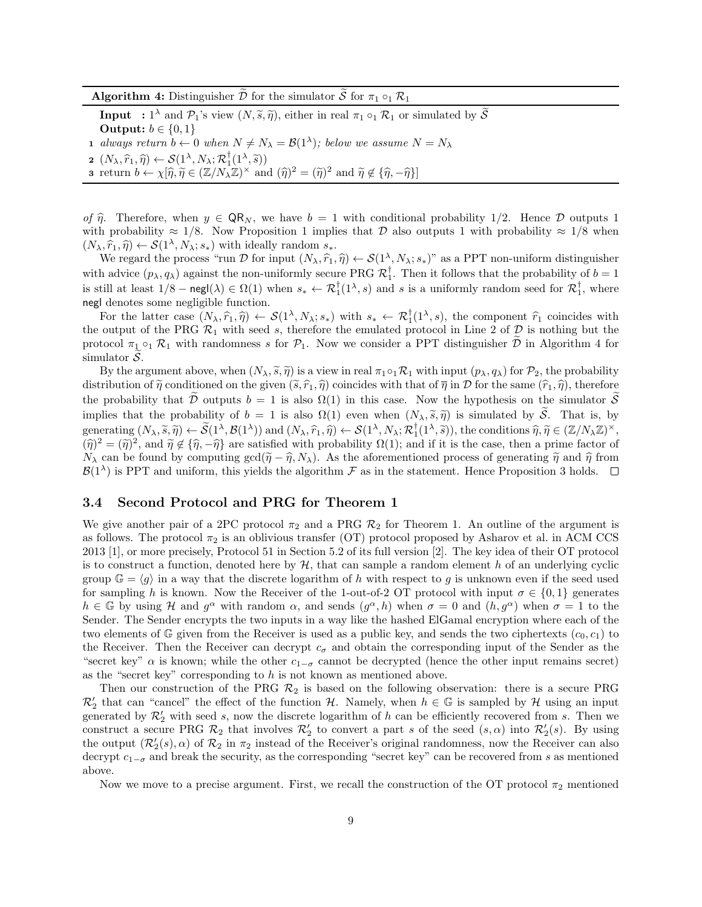**Algorithm 4:** Distinguisher  $\tilde{\mathcal{D}}$  for the simulator  $\tilde{\mathcal{S}}$  for  $\pi_1 \circ_1 \mathcal{R}_1$ 

**Input** :  $1^{\lambda}$  and  $\mathcal{P}_1$ 's view  $(N, \tilde{s}, \tilde{\eta})$ , either in real  $\pi_1 \circ_1 \mathcal{R}_1$  or simulated by  $\tilde{\mathcal{S}}$ <br>Output:  $h \in \{0, 1\}$ Output:  $b \in \{0,1\}$ 

1 always return  $b \leftarrow 0$  when  $N \neq N_{\lambda} = \mathcal{B}(1^{\lambda})$ ; below we assume  $N = N_{\lambda}$ 

2  $(N_\lambda, \hat{r}_1, \hat{\eta}) \leftarrow \mathcal{S}(1^\lambda, N_\lambda; \mathcal{R}_1^\dagger(1^\lambda, \tilde{s}))$ <br>2 roturn b /  $\sqrt{\hat{r}} \tilde{\eta} \in (\mathbb{Z}/N, \mathbb{Z})^\times$  and

**3** return  $b \leftarrow \chi[\hat{\eta}, \tilde{\eta} \in (\mathbb{Z}/N_{\lambda}\mathbb{Z})^{\times} \text{ and } (\hat{\eta})^2 = (\tilde{\eta})^2 \text{ and } \tilde{\eta} \notin \{\hat{\eta}, -\hat{\eta}\}\]$ 

of  $\hat{\eta}$ . Therefore, when  $y \in \mathsf{QR}_N$ , we have  $b = 1$  with conditional probability 1/2. Hence D outputs 1 with probability  $\approx 1/8$ . Now Proposition 1 implies that D also outputs 1 with probability  $\approx 1/8$  when  $(N_{\lambda}, \hat{r}_1, \hat{\eta}) \leftarrow \mathcal{S}(1^{\lambda}, N_{\lambda}; s_*)$  with ideally random  $s_*$ .<br>We record the process "run  $\mathcal{D}$  for input  $(N, \hat{\mathcal{F}})$ 

We regard the process "run D for input  $(N_{\lambda}, \hat{r}_1, \hat{\eta}) \leftarrow \mathcal{S}(1^{\lambda}, N_{\lambda}; s_*)$ " as a PPT non-uniform distinguisher with advice  $(p_\lambda, q_\lambda)$  against the non-uniformly secure PRG  $\mathcal{R}_1^{\dagger}$ . Then it follows that the probability of  $b = 1$ is still at least  $1/8$  – negl $(\lambda) \in \Omega(1)$  when  $s_* \leftarrow \mathcal{R}_1^{\dagger}(1^{\lambda}, s)$  and s is a uniformly random seed for  $\mathcal{R}_1^{\dagger}$ , where negl denotes some negligible function.

For the latter case  $(N_\lambda, \hat{r}_1, \hat{\eta}) \leftarrow \mathcal{S}(1^\lambda, N_\lambda; s_*)$  with  $s_* \leftarrow \mathcal{R}_1^{\dagger}(1^\lambda, s)$ , the component  $\hat{r}_1$  coincides with output of the PBC  $\mathcal{R}_2$ , with sood s, therefore the emulated protocol in Line 2 of  $\mathcal{$ the output of the PRG  $\mathcal{R}_1$  with seed s, therefore the emulated protocol in Line 2 of  $\mathcal{D}$  is nothing but the protocol  $\pi_1 \circ_1 \mathcal{R}_1$  with randomness s for  $\mathcal{P}_1$ . Now we consider a PPT distinguisher D in Algorithm 4 for simulator  $S$ .

By the argument above, when  $(N_\lambda, \tilde{s}, \tilde{\eta})$  is a view in real  $\pi_1 \circ_1 \mathcal{R}_1$  with input  $(p_\lambda, q_\lambda)$  for  $\mathcal{P}_2$ , the probability distribution of  $\tilde{\eta}$  conditioned on the given  $(\tilde{s}, \hat{r}_1, \hat{\eta})$  coincides with that of  $\overline{\eta}$  in D for the same  $(\hat{r}_1, \hat{\eta})$ , therefore the probability that  $\tilde{\mathcal{D}}$  outputs  $b = 1$  is also  $\Omega(1)$  in this case. Now the hypothesis on the simulator  $\tilde{\mathcal{S}}$ implies that the probability of  $b = 1$  is also  $\Omega(1)$  even when  $(N_\lambda, \tilde{s}, \tilde{\eta})$  is simulated by  $\tilde{S}$ . That is, by generating  $(N_\lambda, \tilde{s}, \tilde{\eta}) \leftarrow \tilde{\mathcal{S}}(1^\lambda, \mathcal{B}(1^\lambda))$  and  $(N_\lambda, \hat{r}_1, \hat{\eta}) \leftarrow \mathcal{S}(1^\lambda, N_\lambda; \mathcal{R}_1^{\dagger}(1^\lambda, \tilde{s}))$ , the conditions  $\hat{\eta}, \tilde{\eta} \in (\mathbb{Z}/N_\lambda \mathbb{Z})^\times$ ,  $(n) = 2^{-\lambda}$  and  $\tilde{s} \notin \tilde{r}_0 = \hat{s} \ge 0$  are satisfie  $({\hat{\eta}})^2 = ({\tilde{\eta}})^2$ , and  ${\tilde{\eta}} \notin {\{\hat{\eta}}, -\hat{\eta}\}$  are satisfied with probability  $\Omega(1)$ ; and if it is the case, then a prime factor of  $N_1$  are satisfied with probability  $\Omega(1)$ ; and if it is the case, then a prime fac  $N_{\lambda}$  can be found by computing gcd $(\tilde{\eta}-\hat{\eta},N_{\lambda})$ . As the aforementioned process of generating  $\tilde{\eta}$  and  $\hat{\eta}$  from  $\mathcal{B}(1^{\lambda})$  is PPT and uniform, this yields the algorithm  $\mathcal F$  as in the statement. Hence Proposition 3 holds.

#### 3.4 Second Protocol and PRG for Theorem 1

We give another pair of a 2PC protocol  $\pi_2$  and a PRG  $\mathcal{R}_2$  for Theorem 1. An outline of the argument is as follows. The protocol  $\pi_2$  is an oblivious transfer (OT) protocol proposed by Asharov et al. in ACM CCS 2013 [1], or more precisely, Protocol 51 in Section 5.2 of its full version [2]. The key idea of their OT protocol is to construct a function, denoted here by  $H$ , that can sample a random element h of an underlying cyclic group  $\mathbb{G} = \langle g \rangle$  in a way that the discrete logarithm of h with respect to g is unknown even if the seed used for sampling h is known. Now the Receiver of the 1-out-of-2 OT protocol with input  $\sigma \in \{0,1\}$  generates  $h \in \mathbb{G}$  by using H and  $g^{\alpha}$  with random  $\alpha$ , and sends  $(g^{\alpha}, h)$  when  $\sigma = 0$  and  $(h, g^{\alpha})$  when  $\sigma = 1$  to the Sender. The Sender encrypts the two inputs in a way like the hashed ElGamal encryption where each of the two elements of G given from the Receiver is used as a public key, and sends the two ciphertexts  $(c_0, c_1)$  to the Receiver. Then the Receiver can decrypt  $c_{\sigma}$  and obtain the corresponding input of the Sender as the "secret key"  $\alpha$  is known; while the other  $c_{1-\sigma}$  cannot be decrypted (hence the other input remains secret) as the "secret key" corresponding to  $h$  is not known as mentioned above.

Then our construction of the PRG  $\mathcal{R}_2$  is based on the following observation: there is a secure PRG  $\mathcal{R}_2'$  that can "cancel" the effect of the function H. Namely, when  $h \in \mathbb{G}$  is sampled by H using an input generated by  $\mathcal{R}'_2$  with seed s, now the discrete logarithm of h can be efficiently recovered from s. Then we construct a secure PRG  $\mathcal{R}_2$  that involves  $\mathcal{R}_2'$  to convert a part s of the seed  $(s, \alpha)$  into  $\mathcal{R}_2'(s)$ . By using the output  $(\mathcal{R}'_2(s), \alpha)$  of  $\mathcal{R}_2$  in  $\pi_2$  instead of the Receiver's original randomness, now the Receiver can also decrypt  $c_{1-\sigma}$  and break the security, as the corresponding "secret key" can be recovered from s as mentioned above.

Now we move to a precise argument. First, we recall the construction of the OT protocol  $\pi_2$  mentioned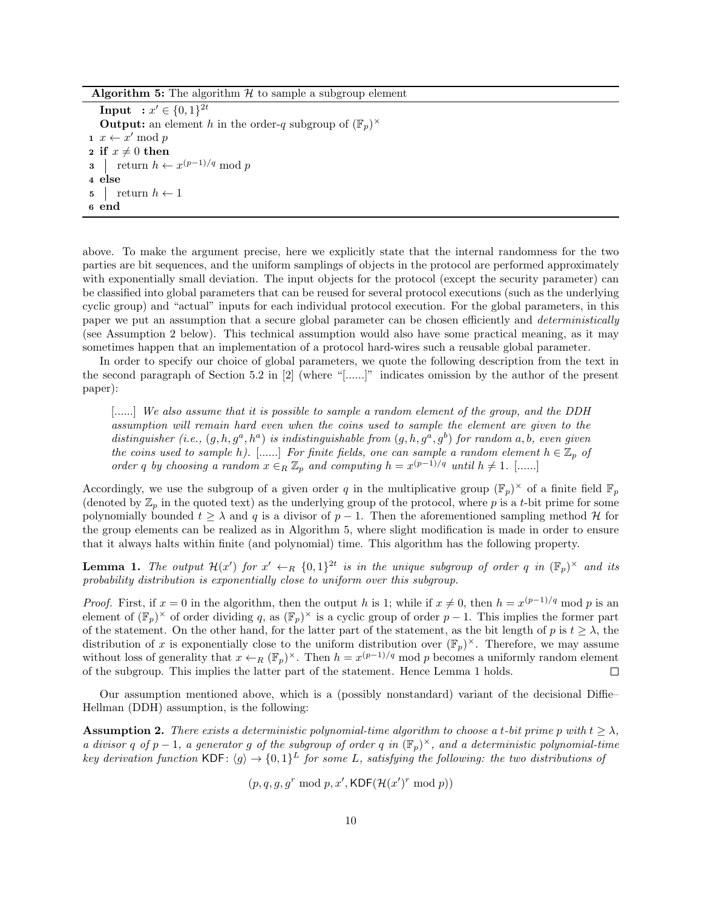Algorithm 5: The algorithm  $H$  to sample a subgroup element

**Input** :  $x' \in \{0, 1\}^{2t}$ **Output:** an element h in the order-q subgroup of  $(\mathbb{F}_p)^{\times}$  $x \leftarrow x' \mod p$ 2 if  $x \neq 0$  then **3** | return  $h \leftarrow x^{(p-1)/q} \mod p$ 4 else 5 | return  $h \leftarrow 1$ 6 end

above. To make the argument precise, here we explicitly state that the internal randomness for the two parties are bit sequences, and the uniform samplings of objects in the protocol are performed approximately with exponentially small deviation. The input objects for the protocol (except the security parameter) can be classified into global parameters that can be reused for several protocol executions (such as the underlying cyclic group) and "actual" inputs for each individual protocol execution. For the global parameters, in this paper we put an assumption that a secure global parameter can be chosen efficiently and *deterministically* (see Assumption 2 below). This technical assumption would also have some practical meaning, as it may sometimes happen that an implementation of a protocol hard-wires such a reusable global parameter.

In order to specify our choice of global parameters, we quote the following description from the text in the second paragraph of Section 5.2 in [2] (where "[......]" indicates omission by the author of the present paper):

[......] We also assume that it is possible to sample a random element of the group, and the DDH assumption will remain hard even when the coins used to sample the element are given to the distinguisher (i.e.,  $(g, h, g^a, h^a)$  is indistinguishable from  $(g, h, g^a, g^b)$  for random a, b, even given the coins used to sample h). [......] For finite fields, one can sample a random element  $h \in \mathbb{Z}_p$  of order q by choosing a random  $x \in_R \mathbb{Z}_p$  and computing  $h = x^{(p-1)/q}$  until  $h \neq 1$ . [......]

Accordingly, we use the subgroup of a given order q in the multiplicative group  $(\mathbb{F}_p)^{\times}$  of a finite field  $\mathbb{F}_p$ (denoted by  $\mathbb{Z}_p$  in the quoted text) as the underlying group of the protocol, where p is a t-bit prime for some polynomially bounded  $t \geq \lambda$  and q is a divisor of  $p-1$ . Then the aforementioned sampling method H for the group elements can be realized as in Algorithm 5, where slight modification is made in order to ensure that it always halts within finite (and polynomial) time. This algorithm has the following property.

**Lemma 1.** The output  $\mathcal{H}(x')$  for  $x' \leftarrow_R \{0,1\}^{2t}$  is in the unique subgroup of order q in  $(\mathbb{F}_p)^{\times}$  and its probability distribution is exponentially close to uniform over this subgroup.

*Proof.* First, if  $x = 0$  in the algorithm, then the output h is 1; while if  $x \neq 0$ , then  $h = x^{(p-1)/q} \mod p$  is an element of  $(\mathbb{F}_p)^{\times}$  of order dividing q, as  $(\mathbb{F}_p)^{\times}$  is a cyclic group of order  $p-1$ . This implies the former part of the statement. On the other hand, for the latter part of the statement, as the bit length of p is  $t \geq \lambda$ , the distribution of x is exponentially close to the uniform distribution over  $(\mathbb{F}_p)^{\times}$ . Therefore, we may assume without loss of generality that  $x \leftarrow_R (\mathbb{F}_p)^{\times}$ . Then  $h = x^{(p-1)/q} \mod p$  becomes a uniformly random element of the subgroup. This implies the latter part of the statement. Hence Lemma 1 holds.  $\Box$ 

Our assumption mentioned above, which is a (possibly nonstandard) variant of the decisional Diffie– Hellman (DDH) assumption, is the following:

**Assumption 2.** There exists a deterministic polynomial-time algorithm to choose a t-bit prime p with  $t \geq \lambda$ , a divisor q of p – 1, a generator g of the subgroup of order q in  $(\mathbb{F}_p)^{\times}$ , and a deterministic polynomial-time key derivation function KDF:  $\langle g \rangle \to \{0, 1\}^L$  for some L, satisfying the following: the two distributions of

 $(p, q, g, g^r \mod p, x', \text{KDF}(\mathcal{H}(x')^r \mod p))$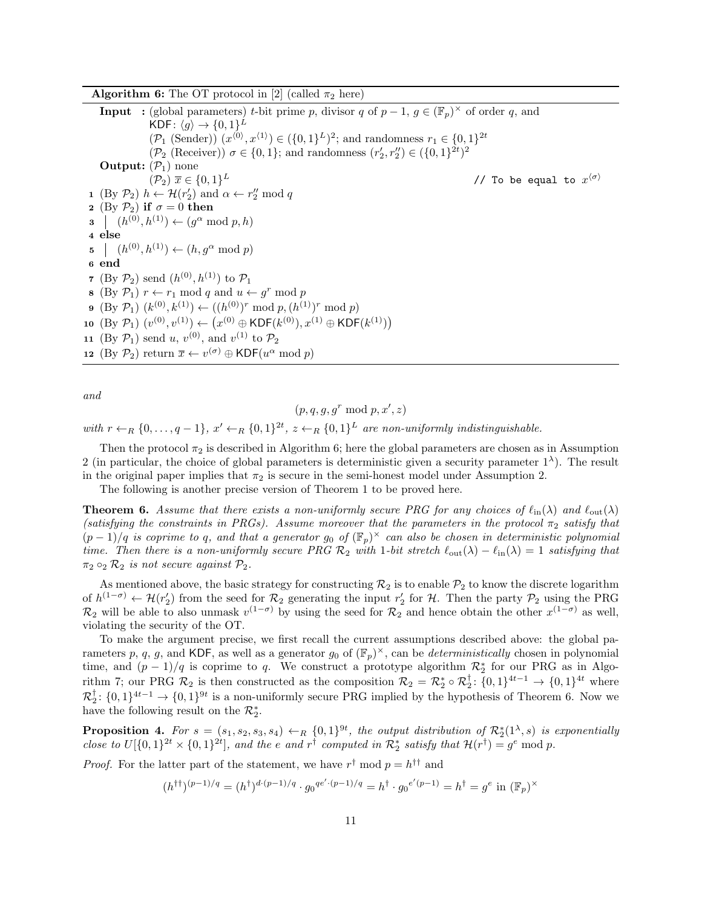**Algorithm 6:** The OT protocol in [2] (called  $\pi_2$  here)

**Input** : (global parameters) t-bit prime p, divisor q of  $p-1$ ,  $g \in (\mathbb{F}_p)^{\times}$  of order q, and KDF:  $\langle g \rangle \rightarrow \{0, 1\}^L$  $(\mathcal{P}_1 \text{ (Sender)}) (x^{\langle 0 \rangle}, x^{\langle 1 \rangle}) \in (\{0, 1\}^L)^2$ ; and randomness  $r_1 \in \{0, 1\}^{2t}$  $(\mathcal{P}_2 \text{ (Receiver)}) \sigma \in \{0, 1\}; \text{ and randomness } (r'_2, r''_2) \in (\{0, 1\}^{2t})^{2}$ **Output:**  $(\mathcal{P}_1)$  none  $(\mathcal{P}_2) \ \overline{x} \in \{0,1\}^L$  $L$  // To be equal to  $x^{\langle \sigma \rangle}$ **1** (By  $\mathcal{P}_2$ )  $h \leftarrow \mathcal{H}(r'_2)$  and  $\alpha \leftarrow r''_2 \mod q$ 2 (By  $\mathcal{P}_2$ ) if  $\sigma = 0$  then  $\mathbf{s} \mid (h^{(0)}, h^{(1)}) \leftarrow (g^{\alpha} \bmod p, h)$ 4 else 5  $(h^{(0)}, h^{(1)}) \leftarrow (h, g^{\alpha} \mod p)$ 6 end 7 (By  $\mathcal{P}_2$ ) send  $(h^{(0)}, h^{(1)})$  to  $\mathcal{P}_1$ 8 (By  $\mathcal{P}_1$ )  $r \leftarrow r_1 \mod q$  and  $u \leftarrow g^r \mod p$ 9 (By  $\mathcal{P}_1$ )  $(k^{(0)}, k^{(1)}) \leftarrow ((h^{(0)})^r \bmod p, (h^{(1)})^r \bmod p)$ 10  $(By \mathcal{P}_1) (v^{(0)}, v^{(1)}) \leftarrow (x^{(0)} \oplus \text{KDF}(k^{(0)}), x^{(1)} \oplus \text{KDF}(k^{(1)}))$ 11 (By  $\mathcal{P}_1$ ) send u,  $v^{(0)}$ , and  $v^{(1)}$  to  $\mathcal{P}_2$ 12 (By  $\mathcal{P}_2$ ) return  $\overline{x} \leftarrow v^{(\sigma)} \oplus \text{KDF}(u^{\alpha} \mod p)$ 

and

$$
(p,q,g,g^r \bmod p,x',z)
$$
  
with  $r \leftarrow_R \{0,\ldots,q-1\}$ ,  $x' \leftarrow_R \{0,1\}^{2t}$ ,  $z \leftarrow_R \{0,1\}^L$  are non-uniformly indistinguishable.

Then the protocol  $\pi_2$  is described in Algorithm 6; here the global parameters are chosen as in Assumption 2 (in particular, the choice of global parameters is deterministic given a security parameter  $1^{\lambda}$ ). The result in the original paper implies that  $\pi_2$  is secure in the semi-honest model under Assumption 2.

The following is another precise version of Theorem 1 to be proved here.

**Theorem 6.** Assume that there exists a non-uniformly secure PRG for any choices of  $\ell_{in}(\lambda)$  and  $\ell_{out}(\lambda)$ (satisfying the constraints in PRGs). Assume moreover that the parameters in the protocol  $\pi_2$  satisfy that  $(p-1)/q$  is coprime to q, and that a generator  $g_0$  of  $(\mathbb{F}_p)^{\times}$  can also be chosen in deterministic polynomial time. Then there is a non-uniformly secure PRG  $\mathcal{R}_2$  with 1-bit stretch  $\ell_{\text{out}}(\lambda) - \ell_{\text{in}}(\lambda) = 1$  satisfying that  $\pi_2 \circ_2 \mathcal{R}_2$  is not secure against  $\mathcal{P}_2$ .

As mentioned above, the basic strategy for constructing  $\mathcal{R}_2$  is to enable  $\mathcal{P}_2$  to know the discrete logarithm of  $h^{(1-\sigma)} \leftarrow \mathcal{H}(r'_2)$  from the seed for  $\mathcal{R}_2$  generating the input  $r'_2$  for  $\mathcal{H}$ . Then the party  $\mathcal{P}_2$  using the PRG  $\mathcal{R}_2$  will be able to also unmask  $v^{(1-\sigma)}$  by using the seed for  $\mathcal{R}_2$  and hence obtain the other  $x^{(1-\sigma)}$  as well, violating the security of the OT.

To make the argument precise, we first recall the current assumptions described above: the global parameters p, q, g, and KDF, as well as a generator  $g_0$  of  $(\mathbb{F}_p)^{\times}$ , can be *deterministically* chosen in polynomial time, and  $(p-1)/q$  is coprime to q. We construct a prototype algorithm  $\mathcal{R}_2^*$  for our PRG as in Algorithm 7; our PRG  $\mathcal{R}_2$  is then constructed as the composition  $\mathcal{R}_2 = \mathcal{R}_2^* \circ \mathcal{R}_2^{\dagger}$ :  $\{0,1\}^{4t-1} \to \{0,1\}^{4t}$  where  $\mathcal{R}_2^{\dagger}$ :  $\{0,1\}^{4t-1} \to \{0,1\}^{9t}$  is a non-uniformly secure PRG implied by the hypothesis of Theorem 6. Now we have the following result on the  $\mathcal{R}_2^*$ .

**Proposition 4.** For  $s = (s_1, s_2, s_3, s_4) \leftarrow_R \{0, 1\}^{9t}$ , the output distribution of  $\mathcal{R}_2^*(1^\lambda, s)$  is exponentially close to  $U[\{0,1\}^{2t} \times \{0,1\}^{2t}]$ , and the e and  $r^{\dagger}$  computed in  $\mathcal{R}_2^*$  satisfy that  $\mathcal{H}(r^{\dagger}) = g^e \mod p$ .

*Proof.* For the latter part of the statement, we have  $r^{\dagger}$  mod  $p = h^{\dagger \dagger}$  and

$$
(h^{\dagger \dagger})^{(p-1)/q} = (h^{\dagger})^{d \cdot (p-1)/q} \cdot g_0{}^{qe' \cdot (p-1)/q} = h^{\dagger} \cdot g_0{}^{e'(p-1)} = h^{\dagger} = g^e \text{ in } (\mathbb{F}_p)^{\times}
$$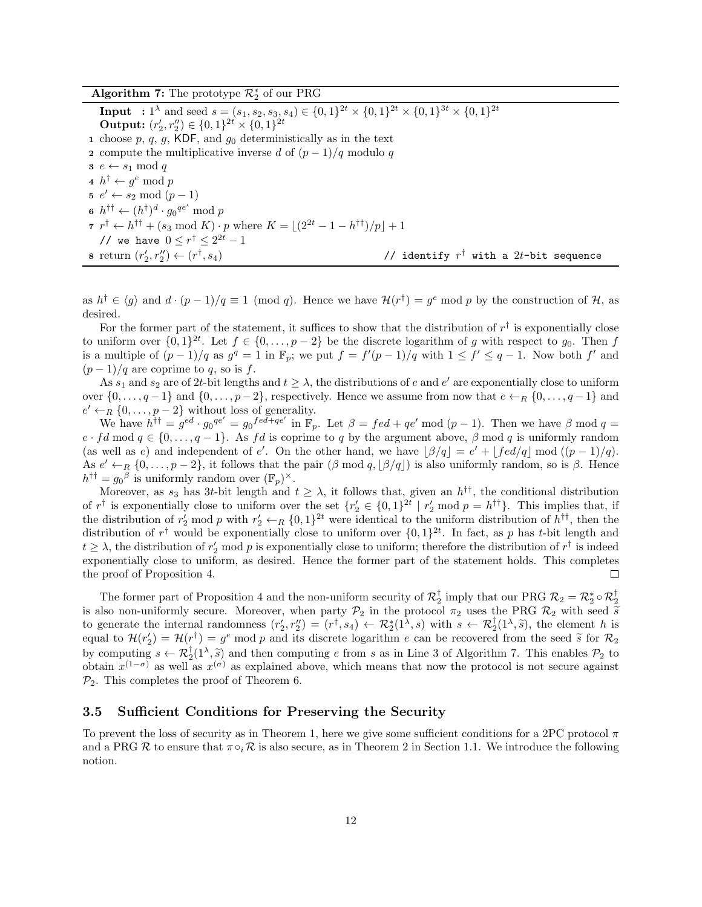Algorithm 7: The prototype  $\mathcal{R}_2^*$  of our PRG

**Input** : 1<sup>\lattra</sup> and seed  $s = (s_1, s_2, s_3, s_4) \in \{0, 1\}^{2t} \times \{0, 1\}^{2t} \times \{0, 1\}^{3t} \times \{0, 1\}^{2t}$ **Output:**  $(r'_2, r''_2) \in \{0, 1\}^{2t} \times \{0, 1\}^{2t}$ 1 choose p, q, g, KDF, and  $g_0$  deterministically as in the text 2 compute the multiplicative inverse d of  $(p-1)/q$  modulo q  $\mathbf{s} \in \mathfrak{s}_1 \mod q$ 4  $h^{\dagger} \leftarrow g^e \bmod p$ 5  $e' \leftarrow s_2 \mod (p-1)$ 6  $h^{\dagger \dagger} \leftarrow (h^{\dagger})^d \cdot g_0{}^{qe'} \bmod p$  $\tau \, r^{\dagger} \leftarrow h^{\dagger \dagger} + (s_3 \mod K) \cdot p$  where  $K = \lfloor (2^{2t} - 1 - h^{\dagger \dagger})/p \rfloor + 1$ // we have  $0 \leq r^{\dagger} \leq 2^{2t} - 1$  $\mathbf{s}$  return  $(r'_2, r''_2) \leftarrow (r^{\dagger})$  $(s_{4})$  // identify  $r^{\dagger}$  with a  $2t$ -bit sequence

as  $h^{\dagger} \in \langle g \rangle$  and  $d \cdot (p-1)/q \equiv 1 \pmod{q}$ . Hence we have  $\mathcal{H}(r^{\dagger}) = g^e \pmod{p}$  by the construction of  $\mathcal{H}$ , as desired.

For the former part of the statement, it suffices to show that the distribution of  $r^{\dagger}$  is exponentially close to uniform over  $\{0,1\}^{2t}$ . Let  $f \in \{0,\ldots,p-2\}$  be the discrete logarithm of g with respect to  $g_0$ . Then f is a multiple of  $(p-1)/q$  as  $q^q = 1$  in  $\mathbb{F}_p$ ; we put  $f = f'(p-1)/q$  with  $1 \leq f' \leq q-1$ . Now both f' and  $(p-1)/q$  are coprime to q, so is f.

As  $s_1$  and  $s_2$  are of 2t-bit lengths and  $t \geq \lambda$ , the distributions of e and e' are exponentially close to uniform over  $\{0,\ldots,q-1\}$  and  $\{0,\ldots,p-2\}$ , respectively. Hence we assume from now that  $e \leftarrow_R \{0,\ldots,q-1\}$  and  $e' \leftarrow_R \{0, \ldots, p-2\}$  without loss of generality.

We have  $h^{\dagger\dagger} = g^{ed} \cdot g_0 q^{e'} = g_0 f^{ed+qe'}$  in  $\mathbb{F}_p$ . Let  $\beta = fed + qe' \mod (p-1)$ . Then we have  $\beta \mod q =$  $e \cdot f d \mod q \in \{0, \ldots, q-1\}$ . As f d is coprime to q by the argument above,  $\beta \mod q$  is uniformly random (as well as e) and independent of e'. On the other hand, we have  $|\beta/q| = e' + |fed/q| \mod ((p-1)/q)$ . As  $e' \leftarrow_R \{0, \ldots, p-2\}$ , it follows that the pair  $(\beta \mod q, \lfloor \beta/q \rfloor)$  is also uniformly random, so is  $\beta$ . Hence  $h^{\dagger \dagger} = g_0^{\beta}$  is uniformly random over  $(\mathbb{F}_p)^{\times}$ .

Moreover, as  $s_3$  has 3t-bit length and  $t \geq \lambda$ , it follows that, given an  $h^{\dagger \dagger}$ , the conditional distribution of  $r^{\dagger}$  is exponentially close to uniform over the set  $\{r'_2 \in \{0,1\}^{2t} \mid r'_2 \text{ mod } p = h^{\dagger \dagger}\}\.$  This implies that, if the distribution of  $r'_2$  mod p with  $r'_2 \leftarrow_R \{0,1\}^{2t}$  were identical to the uniform distribution of  $h^{\dagger\dagger}$ , then the distribution of  $r^{\dagger}$  would be exponentially close to uniform over  $\{0,1\}^{2t}$ . In fact, as p has t-bit length and  $t \geq \lambda$ , the distribution of  $r'_2$  mod p is exponentially close to uniform; therefore the distribution of  $r^{\dagger}$  is indeed exponentially close to uniform, as desired. Hence the former part of the statement holds. This completes the proof of Proposition 4.  $\Box$ 

The former part of Proposition 4 and the non-uniform security of  $\mathcal{R}_2^{\dagger}$  imply that our PRG  $\mathcal{R}_2 = \mathcal{R}_2^* \circ \mathcal{R}_2^{\dagger}$ is also non-uniformly secure. Moreover, when party  $\mathcal{P}_2$  in the protocol  $\pi_2$  uses the PRG  $\mathcal{R}_2$  with seed  $\tilde{s}$ to generate the internal randomness  $(r'_2, r''_2) = (r^{\dagger}, s_4) \leftarrow \mathcal{R}_2^*(1^{\lambda}, s)$  with  $s \leftarrow \mathcal{R}_2^{\dagger}(1^{\lambda}, \tilde{s})$ , the element h is equal to  $\mathcal{H}(r'_2) = \mathcal{H}(r^{\dagger}) = g^e \mod p$  and its discrete logarithm e can be recovered from the seed  $\tilde{s}$  for  $\mathcal{R}_2$ by computing  $s \leftarrow \mathcal{R}_2^{\dagger}(1^{\lambda}, \tilde{s})$  and then computing e from s as in Line 3 of Algorithm 7. This enables  $\mathcal{P}_2$  to obtain  $x^{(1-\sigma)}$  as well as  $x^{(\sigma)}$  as explained above, which means that now the protocol is not  $\mathcal{P}_2$ . This completes the proof of Theorem 6.

#### 3.5 Sufficient Conditions for Preserving the Security

To prevent the loss of security as in Theorem 1, here we give some sufficient conditions for a 2PC protocol  $\pi$ and a PRG R to ensure that  $\pi \circ_i \mathcal{R}$  is also secure, as in Theorem 2 in Section 1.1. We introduce the following notion.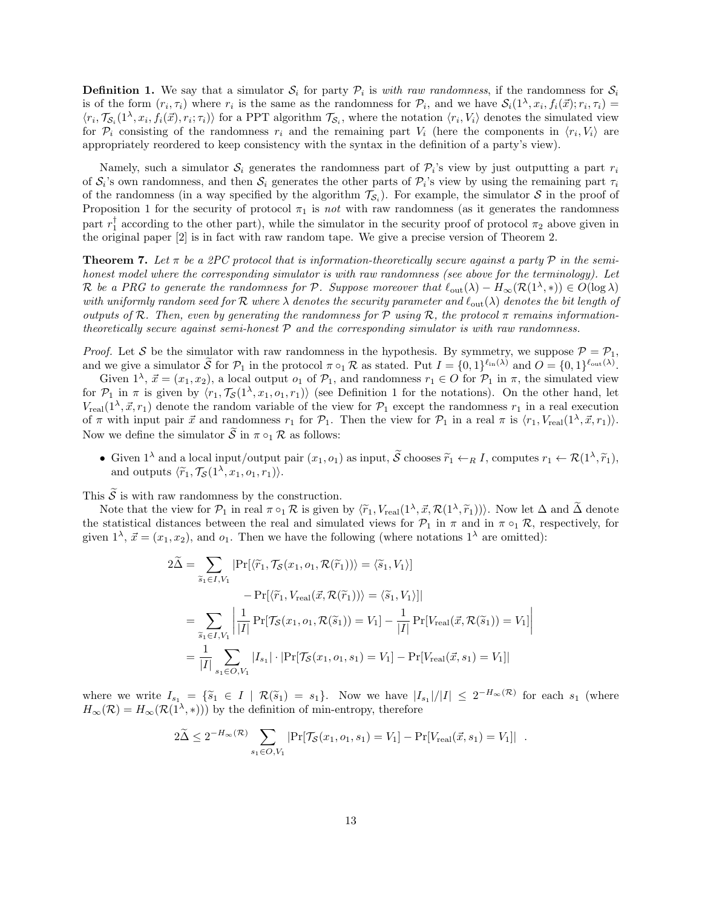**Definition 1.** We say that a simulator  $S_i$  for party  $P_i$  is with raw randomness, if the randomness for  $S_i$ is of the form  $(r_i, \tau_i)$  where  $r_i$  is the same as the randomness for  $\mathcal{P}_i$ , and we have  $\mathcal{S}_i(1^\lambda, x_i, f_i(\vec{x}); r_i, \tau_i) =$  $\langle r_i, \mathcal{T}_{\mathcal{S}_i}(1^{\lambda}, x_i, f_i(\vec{x}), r_i; \tau_i) \rangle$  for a PPT algorithm  $\mathcal{T}_{\mathcal{S}_i}$ , where the notation  $\langle r_i, V_i \rangle$  denotes the simulated view for  $P_i$  consisting of the randomness  $r_i$  and the remaining part  $V_i$  (here the components in  $\langle r_i, V_i \rangle$  are appropriately reordered to keep consistency with the syntax in the definition of a party's view).

Namely, such a simulator  $S_i$  generates the randomness part of  $\mathcal{P}_i$ 's view by just outputting a part  $r_i$ of  $S_i$ 's own randomness, and then  $S_i$  generates the other parts of  $\mathcal{P}_i$ 's view by using the remaining part  $\tau_i$ of the randomness (in a way specified by the algorithm  $\mathcal{T}_{S_i}$ ). For example, the simulator S in the proof of Proposition 1 for the security of protocol  $\pi_1$  is not with raw randomness (as it generates the randomness part  $r_1^{\dagger}$  according to the other part), while the simulator in the security proof of protocol  $\pi_2$  above given in the original paper [2] is in fact with raw random tape. We give a precise version of Theorem 2.

**Theorem 7.** Let  $\pi$  be a 2PC protocol that is information-theoretically secure against a party P in the semihonest model where the corresponding simulator is with raw randomness (see above for the terminology). Let R be a PRG to generate the randomness for P. Suppose moreover that  $\ell_{\text{out}}(\lambda) - H_{\infty}(\mathcal{R}(1^{\lambda},*)) \in O(\log \lambda)$ with uniformly random seed for R where  $\lambda$  denotes the security parameter and  $\ell_{\text{out}}(\lambda)$  denotes the bit length of outputs of R. Then, even by generating the randomness for P using R, the protocol  $\pi$  remains informationtheoretically secure against semi-honest  $P$  and the corresponding simulator is with raw randomness.

*Proof.* Let S be the simulator with raw randomness in the hypothesis. By symmetry, we suppose  $\mathcal{P} = \mathcal{P}_1$ , and we give a simulator  $\tilde{S}$  for  $\mathcal{P}_1$  in the protocol  $\pi \circ_1 \mathcal{R}$  as stated. Put  $I = \{0, 1\}^{\ell_{\text{in}}(\lambda)}$  and  $O = \{0, 1\}^{\ell_{\text{out}}(\lambda)}$ .

Given  $1^{\lambda}$ ,  $\vec{x} = (x_1, x_2)$ , a local output  $o_1$  of  $\mathcal{P}_1$ , and randomness  $r_1 \in O$  for  $\mathcal{P}_1$  in  $\pi$ , the simulated view for  $P_1$  in  $\pi$  is given by  $\langle r_1, \mathcal{T}_{\mathcal{S}}(1^{\lambda}, x_1, o_1, r_1) \rangle$  (see Definition 1 for the notations). On the other hand, let  $V_{\text{real}}(1^{\lambda}, \vec{x}, r_1)$  denote the random variable of the view for  $\mathcal{P}_1$  except the randomness  $r_1$  in a real execution of  $\pi$  with input pair  $\vec{x}$  and randomness  $r_1$  for  $\mathcal{P}_1$ . Then the view for  $\mathcal{P}_1$  in a real  $\pi$  is  $\langle r_1, V_{\text{real}}(1^{\lambda}, \vec{x}, r_1) \rangle$ . Now we define the simulator  $\widetilde{S}$  in  $\pi \circ_1 \mathcal{R}$  as follows:

• Given  $1^{\lambda}$  and a local input/output pair  $(x_1, o_1)$  as input,  $\widetilde{S}$  chooses  $\widetilde{r}_1 \leftarrow_R I$ , computes  $r_1 \leftarrow \mathcal{R}(1^{\lambda}, \widetilde{r}_1)$ , and outputs  $\langle \widetilde{r}_1, \mathcal{T}_{\mathcal{S}}(1^{\lambda}, x_1, o_1, r_1) \rangle$ .

This  $\widetilde{S}$  is with raw randomness by the construction.

Note that the view for  $\mathcal{P}_1$  in real  $\pi \circ_1 \mathcal{R}$  is given by  $\langle \tilde{r}_1, V_{\text{real}}(1^{\lambda}, \vec{x}, \mathcal{R}(1^{\lambda}, \tilde{r}_1)) \rangle$ . Now let  $\Delta$  and  $\tilde{\Delta}$  denote existing distances between the real and simulated views for  $\mathcal{P}_1$ the statistical distances between the real and simulated views for  $P_1$  in  $\pi$  and in  $\pi \circ_1 \mathcal{R}$ , respectively, for given  $1^{\lambda}$ ,  $\vec{x} = (x_1, x_2)$ , and  $o_1$ . Then we have the following (where notations  $1^{\lambda}$  are omitted):

$$
2\tilde{\Delta} = \sum_{\tilde{s}_1 \in I, V_1} \left| \Pr[\langle \tilde{r}_1, \mathcal{T}_{\mathcal{S}}(x_1, o_1, \mathcal{R}(\tilde{r}_1)) \rangle = \langle \tilde{s}_1, V_1 \rangle] \right|
$$
  
\n
$$
- \Pr[\langle \tilde{r}_1, V_{\text{real}}(\vec{x}, \mathcal{R}(\tilde{r}_1)) \rangle = \langle \tilde{s}_1, V_1 \rangle] \right|
$$
  
\n
$$
= \sum_{\tilde{s}_1 \in I, V_1} \left| \frac{1}{|I|} \Pr[\mathcal{T}_{\mathcal{S}}(x_1, o_1, \mathcal{R}(\tilde{s}_1)) = V_1] - \frac{1}{|I|} \Pr[V_{\text{real}}(\vec{x}, \mathcal{R}(\tilde{s}_1)) = V_1] \right|
$$
  
\n
$$
= \frac{1}{|I|} \sum_{s_1 \in O, V_1} |I_{s_1}| \cdot |\Pr[\mathcal{T}_{\mathcal{S}}(x_1, o_1, s_1) = V_1] - \Pr[V_{\text{real}}(\vec{x}, s_1) = V_1] |
$$

where we write  $I_{s_1} = {\{\tilde{s}_1 \in I \mid \mathcal{R}(\tilde{s}_1) = s_1\}}$ . Now we have  $|I_{s_1}|/|I| \leq 2^{-H_{\infty}(\mathcal{R})}$  for each  $s_1$  (where  $H_{\infty}(\mathcal{R}) = H_{\infty}(\mathcal{R}(1^{\lambda} \times))$ ) by the definition of min entropy therefore  $H_{\infty}(\mathcal{R}) = H_{\infty}(\mathcal{R}(1^{\lambda},*))$  by the definition of min-entropy, therefore

$$
2\tilde{\Delta} \le 2^{-H_{\infty}(\mathcal{R})} \sum_{s_1 \in O, V_1} |\Pr[\mathcal{T}_{\mathcal{S}}(x_1, o_1, s_1) = V_1] - \Pr[V_{\text{real}}(\vec{x}, s_1) = V_1]|.
$$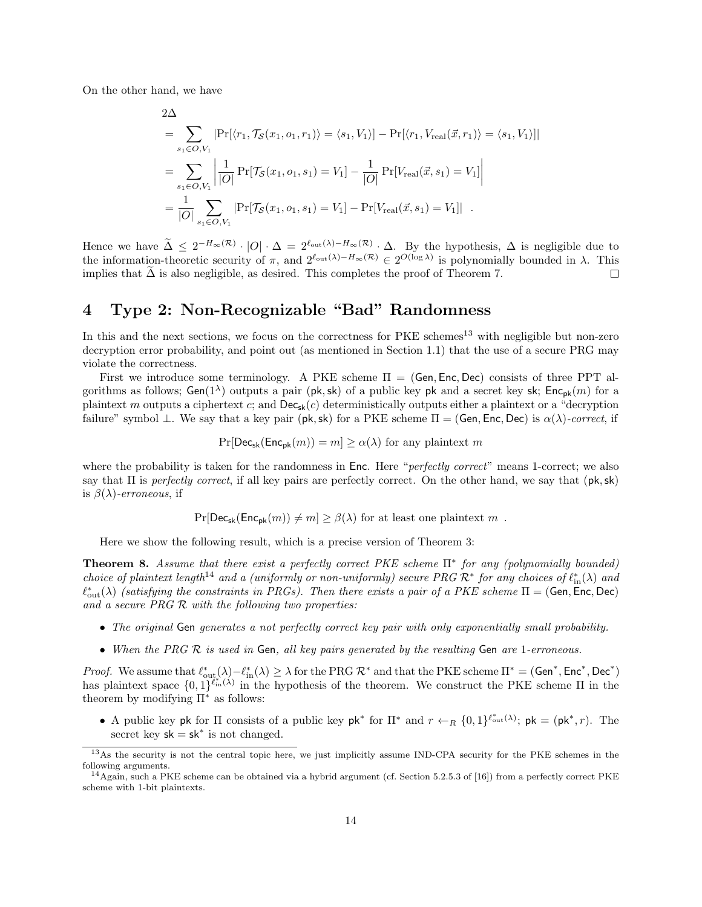On the other hand, we have

 $\Delta$   $\Delta$ 

$$
2\Delta
$$
  
=  $\sum_{s_1 \in O, V_1} |\Pr[\langle r_1, \mathcal{T}_{S}(x_1, o_1, r_1) \rangle = \langle s_1, V_1 \rangle] - \Pr[\langle r_1, V_{\text{real}}(\vec{x}, r_1) \rangle = \langle s_1, V_1 \rangle]|$   
=  $\sum_{s_1 \in O, V_1} \left| \frac{1}{|O|} \Pr[\mathcal{T}_{S}(x_1, o_1, s_1) = V_1] - \frac{1}{|O|} \Pr[V_{\text{real}}(\vec{x}, s_1) = V_1] \right|$   
=  $\frac{1}{|O|} \sum_{s_1 \in O, V_1} |\Pr[\mathcal{T}_{S}(x_1, o_1, s_1) = V_1] - \Pr[V_{\text{real}}(\vec{x}, s_1) = V_1]|$ .

Hence we have  $\tilde{\Delta} \leq 2^{-H_{\infty}(\mathcal{R})} \cdot |O| \cdot \Delta = 2^{\ell_{\text{out}}(\lambda) - H_{\infty}(\mathcal{R})} \cdot \Delta$ . By the hypothesis,  $\Delta$  is negligible due to the information-theoretic security of  $\pi$ , and  $2^{\ell_{\text{out}}(\lambda) - H_{\infty}(\mathcal{R})} \in 2^{O(\log \lambda)}$  is polynomially bounded in  $\lambda$ . This implies that  $\Delta$  is also negligible, as desired. This completes the proof of Theorem 7.  $\Box$ 

# 4 Type 2: Non-Recognizable "Bad" Randomness

In this and the next sections, we focus on the correctness for PKE schemes<sup>13</sup> with negligible but non-zero decryption error probability, and point out (as mentioned in Section 1.1) that the use of a secure PRG may violate the correctness.

First we introduce some terminology. A PKE scheme  $\Pi = (Gen, Enc, Dec)$  consists of three PPT algorithms as follows;  $Gen(1^{\lambda})$  outputs a pair (pk, sk) of a public key pk and a secret key sk;  $Enc_{pk}(m)$  for a plaintext m outputs a ciphertext c; and  $\text{Dec}_{sk}(c)$  deterministically outputs either a plaintext or a "decryption" failure" symbol  $\perp$ . We say that a key pair (pk,sk) for a PKE scheme  $\Pi = (Gen, Enc, Dec)$  is  $\alpha(\lambda)$ -correct, if

$$
Pr[Dec_{sk}(Enc_{pk}(m)) = m] \ge \alpha(\lambda)
$$
 for any plaintext  $m$ 

where the probability is taken for the randomness in Enc. Here "perfectly correct" means 1-correct; we also say that  $\Pi$  is *perfectly correct*, if all key pairs are perfectly correct. On the other hand, we say that ( $pk, sk$ ) is  $\beta(\lambda)$ -erroneous, if

 $Pr[Dec_{\mathsf{sk}}(\mathsf{Enc}_{\mathsf{nk}}(m)) \neq m] > \beta(\lambda)$  for at least one plaintext m.

Here we show the following result, which is a precise version of Theorem 3:

**Theorem 8.** Assume that there exist a perfectly correct PKE scheme  $\Pi^*$  for any (polynomially bounded) choice of plaintext length<sup>14</sup> and a (uniformly or non-uniformly) secure PRG  $\mathcal{R}^*$  for any choices of  $\ell_{\text{in}}^*(\lambda)$  and  $\ell_{out}^*(\lambda)$  (satisfying the constraints in PRGs). Then there exists a pair of a PKE scheme  $\Pi = (Gen, Enc, Dec)$ and a secure  $PRG \nvert R$  with the following two properties:

- The original Gen generates a not perfectly correct key pair with only exponentially small probability.
- When the PRG  $R$  is used in Gen, all key pairs generated by the resulting Gen are 1-erroneous.

*Proof.* We assume that  $\ell_{\text{out}}^*(\lambda) - \ell_{\text{in}}^*(\lambda) \geq \lambda$  for the PRG  $\mathcal{R}^*$  and that the PKE scheme  $\Pi^* = (\text{Gen}^*, \text{Enc}^*, \text{Dec}^*)$ has plaintext space  $\{0,1\}^{\ell_{\text{in}}^*(\lambda)}$  in the hypothesis of the theorem. We construct the PKE scheme  $\Pi$  in the theorem by modifying  $\Pi^*$  as follows:

• A public key pk for  $\Pi$  consists of a public key pk<sup>\*</sup> for  $\Pi^*$  and  $r \leftarrow_R \{0,1\}^{\ell^*_{\text{out}}(\lambda)}$ ; pk = (pk<sup>\*</sup>, r). The secret key  $sk = sk^*$  is not changed.

<sup>&</sup>lt;sup>13</sup>As the security is not the central topic here, we just implicitly assume IND-CPA security for the PKE schemes in the following arguments.

<sup>&</sup>lt;sup>14</sup>Again, such a PKE scheme can be obtained via a hybrid argument (cf. Section 5.2.5.3 of [16]) from a perfectly correct PKE scheme with 1-bit plaintexts.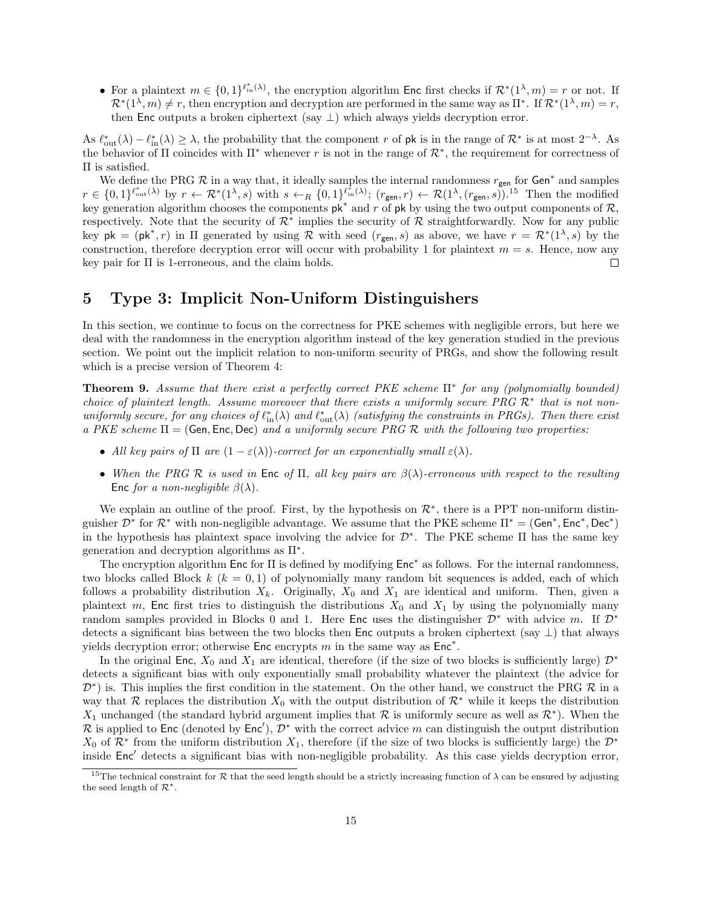• For a plaintext  $m \in \{0,1\}^{\ell_{\rm in}^*(\lambda)}$ , the encryption algorithm Enc first checks if  $\mathcal{R}^*(1^{\lambda}, m) = r$  or not. If  $\mathcal{R}^*(1^{\lambda}, m) \neq r$ , then encryption and decryption are performed in the same way as  $\Pi^*$ . If  $\mathcal{R}^*(1^{\lambda}, m) = r$ , then Enc outputs a broken ciphertext (say  $\perp$ ) which always yields decryption error.

As  $\ell_{\text{out}}^*(\lambda) - \ell_{\text{in}}^*(\lambda) \geq \lambda$ , the probability that the component r of pk is in the range of  $\mathcal{R}^*$  is at most  $2^{-\lambda}$ . As the behavior of  $\Pi$  coincides with  $\Pi^*$  whenever r is not in the range of  $\mathcal{R}^*$ , the requirement for correctness of Π is satisfied.

We define the PRG R in a way that, it ideally samples the internal randomness  $r_{gen}$  for Gen<sup>\*</sup> and samples  $r \in \{0,1\}^{\ell_{\text{out}}^*(\lambda)}$  by  $r \leftarrow \mathcal{R}^*(1^{\lambda},s)$  with  $s \leftarrow_R \{0,1\}^{\ell_{\text{in}}^*(\lambda)}$ ;  $(r_{\text{gen}},r) \leftarrow \mathcal{R}(1^{\lambda}, (r_{\text{gen}},s))$ .<sup>15</sup> Then the modified key generation algorithm chooses the components  $pk^*$  and r of pk by using the two output components of R, respectively. Note that the security of  $\mathcal{R}^*$  implies the security of R straightforwardly. Now for any public key  $pk = (pk^*, r)$  in  $\Pi$  generated by using  $R$  with seed  $(r_{gen}, s)$  as above, we have  $r = R^*(1^{\lambda}, s)$  by the construction, therefore decryption error will occur with probability 1 for plaintext  $m = s$ . Hence, now any key pair for Π is 1-erroneous, and the claim holds.  $\Box$ 

## 5 Type 3: Implicit Non-Uniform Distinguishers

In this section, we continue to focus on the correctness for PKE schemes with negligible errors, but here we deal with the randomness in the encryption algorithm instead of the key generation studied in the previous section. We point out the implicit relation to non-uniform security of PRGs, and show the following result which is a precise version of Theorem 4:

**Theorem 9.** Assume that there exist a perfectly correct PKE scheme  $\Pi^*$  for any (polynomially bounded) choice of plaintext length. Assume moreover that there exists a uniformly secure PRG  $\mathcal{R}^*$  that is not nonuniformly secure, for any choices of  $\ell_{\rm in}^*(\lambda)$  and  $\ell_{\rm out}^*(\lambda)$  (satisfying the constraints in PRGs). Then there exist a PKE scheme  $\Pi = (Gen, Enc, Dec)$  and a uniformly secure PRG R with the following two properties:

- All key pairs of  $\Pi$  are  $(1 \varepsilon(\lambda))$ -correct for an exponentially small  $\varepsilon(\lambda)$ .
- When the PRG R is used in Enc of  $\Pi$ , all key pairs are  $\beta(\lambda)$ -erroneous with respect to the resulting Enc for a non-negligible  $\beta(\lambda)$ .

We explain an outline of the proof. First, by the hypothesis on  $\mathcal{R}^*$ , there is a PPT non-uniform distinguisher  $\mathcal{D}^*$  for  $\mathcal{R}^*$  with non-negligible advantage. We assume that the PKE scheme  $\Pi^* = (\mathsf{Gen}^*, \mathsf{Enc}^*, \mathsf{Dec}^*)$ in the hypothesis has plaintext space involving the advice for  $\mathcal{D}^*$ . The PKE scheme  $\Pi$  has the same key generation and decryption algorithms as  $\Pi^*$ .

The encryption algorithm Enc for Π is defined by modifying  $Enc^*$  as follows. For the internal randomness, two blocks called Block  $k$  ( $k = 0, 1$ ) of polynomially many random bit sequences is added, each of which follows a probability distribution  $X_k$ . Originally,  $X_0$  and  $X_1$  are identical and uniform. Then, given a plaintext m, Enc first tries to distinguish the distributions  $X_0$  and  $X_1$  by using the polynomially many random samples provided in Blocks 0 and 1. Here Enc uses the distinguisher  $\mathcal{D}^*$  with advice m. If  $\mathcal{D}^*$ detects a significant bias between the two blocks then Enc outputs a broken ciphertext (say ⊥) that always yields decryption error; otherwise  $\textsf{Enc}$  encrypts m in the same way as  $\textsf{Enc}^*$ .

In the original Enc,  $X_0$  and  $X_1$  are identical, therefore (if the size of two blocks is sufficiently large)  $\mathcal{D}^*$ detects a significant bias with only exponentially small probability whatever the plaintext (the advice for  $\mathcal{D}^*$ ) is. This implies the first condition in the statement. On the other hand, we construct the PRG R in a way that R replaces the distribution  $X_0$  with the output distribution of  $\mathcal{R}^*$  while it keeps the distribution X<sub>1</sub> unchanged (the standard hybrid argument implies that R is uniformly secure as well as  $\mathcal{R}^*$ ). When the R is applied to Enc (denoted by Enc'),  $\mathcal{D}^*$  with the correct advice m can distinguish the output distribution  $X_0$  of  $\mathcal{R}^*$  from the uniform distribution  $X_1$ , therefore (if the size of two blocks is sufficiently large) the  $\mathcal{D}^*$ inside Enc' detects a significant bias with non-negligible probability. As this case yields decryption error,

<sup>&</sup>lt;sup>15</sup>The technical constraint for R that the seed length should be a strictly increasing function of  $\lambda$  can be ensured by adjusting the seed length of  $\mathcal{R}^*$ .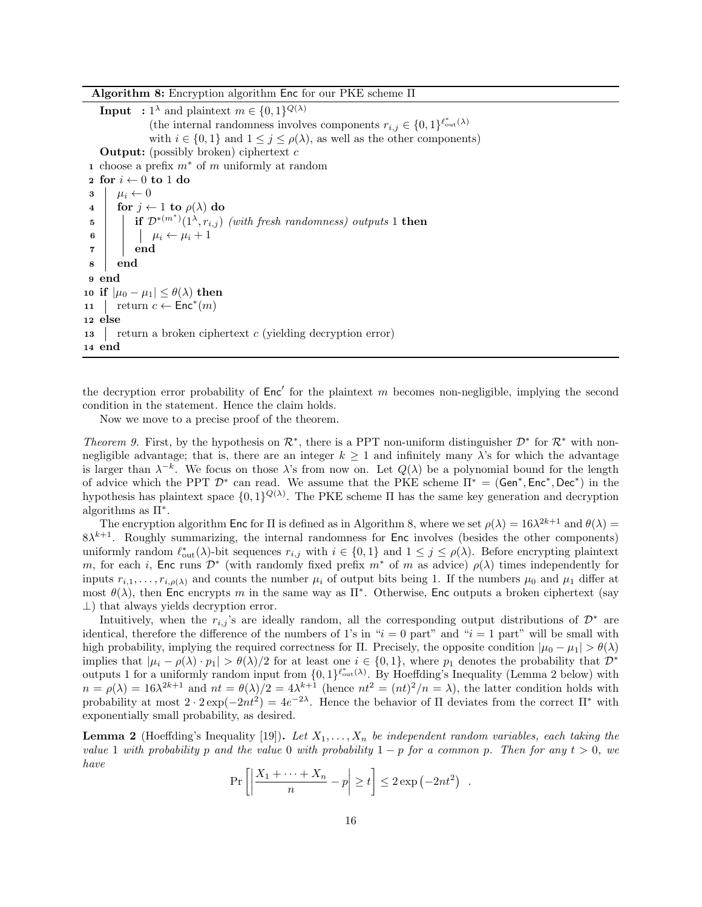Algorithm 8: Encryption algorithm Enc for our PKE scheme Π

**Input** :  $1^{\lambda}$  and plaintext  $m \in \{0, 1\}^{Q(\lambda)}$ (the internal randomness involves components  $r_{i,j} \in \{0,1\}^{\ell_{\text{out}}^*(\lambda)}$ with  $i \in \{0,1\}$  and  $1 \leq j \leq \rho(\lambda)$ , as well as the other components) **Output:** (possibly broken) ciphertext  $c$ 1 choose a prefix  $m^*$  of m uniformly at random 2 for  $i \leftarrow 0$  to 1 do  $3 \mid \mu_i \leftarrow 0$ 4 for  $j \leftarrow 1$  to  $\rho(\lambda)$  do 5 if  $\mathcal{D}^{*(m^*)}(1^{\lambda}, r_{i,j})$  (with fresh randomness) outputs 1 then 6 |  $\mu_i \leftarrow \mu_i + 1$ 7 | end 8 end 9 end 10 if  $|\mu_0 - \mu_1| \leq \theta(\lambda)$  then 11 | return  $c \leftarrow \text{Enc}^*(m)$ <sup>12</sup> else 13 return a broken ciphertext  $c$  (yielding decryption error) 14 end

the decryption error probability of  $Enc'$  for the plaintext m becomes non-negligible, implying the second condition in the statement. Hence the claim holds.

Now we move to a precise proof of the theorem.

Theorem 9. First, by the hypothesis on  $\mathcal{R}^*$ , there is a PPT non-uniform distinguisher  $\mathcal{D}^*$  for  $\mathcal{R}^*$  with nonnegligible advantage; that is, there are an integer  $k > 1$  and infinitely many  $\lambda$ 's for which the advantage is larger than  $\lambda^{-k}$ . We focus on those  $\lambda$ 's from now on. Let  $Q(\lambda)$  be a polynomial bound for the length of advice which the PPT  $\mathcal{D}^*$  can read. We assume that the PKE scheme  $\Pi^* = (\mathsf{Gen}^*, \mathsf{Enc}^*, \mathsf{Dec}^*)$  in the hypothesis has plaintext space  $\{0,1\}^{Q(\lambda)}$ . The PKE scheme II has the same key generation and decryption algorithms as  $\Pi^*$ .

The encryption algorithm Enc for  $\Pi$  is defined as in Algorithm 8, where we set  $\rho(\lambda) = 16\lambda^{2k+1}$  and  $\theta(\lambda) =$  $8\lambda^{k+1}$ . Roughly summarizing, the internal randomness for Enc involves (besides the other components) uniformly random  $\ell_{\text{out}}^*(\lambda)$ -bit sequences  $r_{i,j}$  with  $i \in \{0,1\}$  and  $1 \leq j \leq \rho(\lambda)$ . Before encrypting plaintext m, for each i, Enc runs  $\mathcal{D}^*$  (with randomly fixed prefix  $m^*$  of m as advice)  $\rho(\lambda)$  times independently for inputs  $r_{i,1}, \ldots, r_{i,\rho(\lambda)}$  and counts the number  $\mu_i$  of output bits being 1. If the numbers  $\mu_0$  and  $\mu_1$  differ at most  $\theta(\lambda)$ , then Enc encrypts m in the same way as  $\Pi^*$ . Otherwise, Enc outputs a broken ciphertext (say ⊥) that always yields decryption error.

Intuitively, when the  $r_{i,j}$ 's are ideally random, all the corresponding output distributions of  $\mathcal{D}^*$  are identical, therefore the difference of the numbers of 1's in " $i = 0$  part" and " $i = 1$  part" will be small with high probability, implying the required correctness for Π. Precisely, the opposite condition  $|\mu_0 - \mu_1| > \theta(\lambda)$ implies that  $|\mu_i - \rho(\lambda) \cdot p_1| > \theta(\lambda)/2$  for at least one  $i \in \{0,1\}$ , where  $p_1$  denotes the probability that  $\mathcal{D}^*$ outputs 1 for a uniformly random input from  $\{0,1\}^{\ell_{\text{out}}^*(\lambda)}$ . By Hoeffding's Inequality (Lemma 2 below) with  $n = \rho(\lambda) = 16\lambda^{2k+1}$  and  $nt = \theta(\lambda)/2 = 4\lambda^{k+1}$  (hence  $nt^2 = (nt)^2/n = \lambda$ ), the latter condition holds with probability at most  $2 \cdot 2 \exp(-2nt^2) = 4e^{-2\lambda}$ . Hence the behavior of  $\Pi$  deviates from the correct  $\Pi^*$  with exponentially small probability, as desired.

**Lemma 2** (Hoeffding's Inequality [19]). Let  $X_1, \ldots, X_n$  be independent random variables, each taking the value 1 with probability p and the value 0 with probability  $1-p$  for a common p. Then for any  $t > 0$ , we have

$$
\Pr\left[\left|\frac{X_1 + \dots + X_n}{n} - p\right| \ge t\right] \le 2\exp\left(-2nt^2\right)
$$

.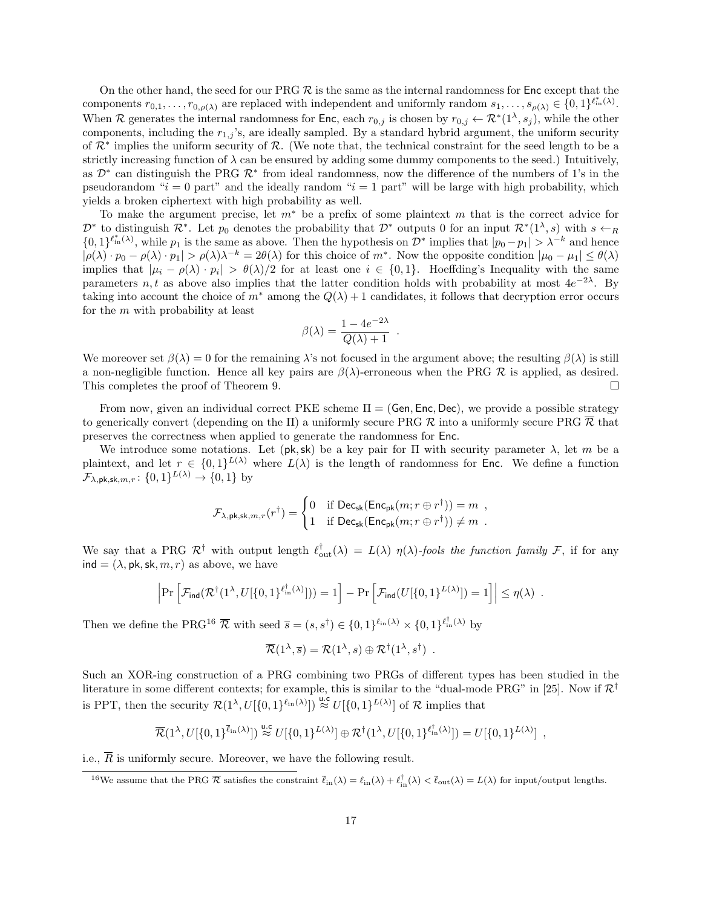On the other hand, the seed for our PRG  $R$  is the same as the internal randomness for Enc except that the components  $r_{0,1}, \ldots, r_{0,\rho(\lambda)}$  are replaced with independent and uniformly random  $s_1, \ldots, s_{\rho(\lambda)} \in \{0,1\}^{\ell_{\text{in}}^*(\lambda)}$ . When R generates the internal randomness for Enc, each  $r_{0,j}$  is chosen by  $r_{0,j} \leftarrow \mathcal{R}^*(1^\lambda, s_j)$ , while the other components, including the  $r_{1,j}$ 's, are ideally sampled. By a standard hybrid argument, the uniform security of  $\mathcal{R}^*$  implies the uniform security of  $\mathcal{R}$ . (We note that, the technical constraint for the seed length to be a strictly increasing function of  $\lambda$  can be ensured by adding some dummy components to the seed.) Intuitively, as  $\mathcal{D}^*$  can distinguish the PRG  $\mathcal{R}^*$  from ideal randomness, now the difference of the numbers of 1's in the pseudorandom " $i = 0$  part" and the ideally random " $i = 1$  part" will be large with high probability, which yields a broken ciphertext with high probability as well.

To make the argument precise, let  $m^*$  be a prefix of some plaintext m that is the correct advice for  $\mathcal{D}^*$  to distinguish  $\mathcal{R}^*$ . Let  $p_0$  denotes the probability that  $\mathcal{D}^*$  outputs 0 for an input  $\mathcal{R}^*(1^{\lambda},s)$  with  $s \leftarrow_R$  $\{0,1\}^{\ell_{\rm in}^*(\lambda)}$ , while  $p_1$  is the same as above. Then the hypothesis on  $\mathcal{D}^*$  implies that  $|p_0-p_1| > \lambda^{-k}$  and hence  $|\rho(\lambda) \cdot p_0 - \rho(\lambda) \cdot p_1| > \rho(\lambda) \lambda^{-k} = 2\theta(\lambda)$  for this choice of  $m^*$ . Now the opposite condition  $|\mu_0 - \mu_1| \leq \theta(\lambda)$ implies that  $|\mu_i - \rho(\lambda) \cdot p_i| > \theta(\lambda)/2$  for at least one  $i \in \{0,1\}$ . Hoeffding's Inequality with the same parameters n, t as above also implies that the latter condition holds with probability at most  $4e^{-2\lambda}$ . By taking into account the choice of  $m^*$  among the  $Q(\lambda) + 1$  candidates, it follows that decryption error occurs for the m with probability at least

$$
\beta(\lambda) = \frac{1 - 4e^{-2\lambda}}{Q(\lambda) + 1} .
$$

We moreover set  $\beta(\lambda) = 0$  for the remaining  $\lambda$ 's not focused in the argument above; the resulting  $\beta(\lambda)$  is still a non-negligible function. Hence all key pairs are  $\beta(\lambda)$ -erroneous when the PRG  $\mathcal R$  is applied, as desired. This completes the proof of Theorem 9.  $\Box$ 

From now, given an individual correct PKE scheme  $\Pi = (Gen, Enc, Dec)$ , we provide a possible strategy to generically convert (depending on the  $\Pi$ ) a uniformly secure PRG R into a uniformly secure PRG  $\overline{\mathcal{R}}$  that preserves the correctness when applied to generate the randomness for Enc.

We introduce some notations. Let  $(\mathsf{pk}, \mathsf{sk})$  be a key pair for  $\Pi$  with security parameter  $\lambda$ , let m be a plaintext, and let  $r \in \{0,1\}^{L(\lambda)}$  where  $L(\lambda)$  is the length of randomness for Enc. We define a function  $\mathcal{F}_{\lambda,\mathsf{pk},\mathsf{sk},m,r}$ :  $\{0,1\}^{L(\lambda)} \to \{0,1\}$  by

$$
\mathcal{F}_{\lambda, \mathrm{pk}, \mathrm{sk}, m, r}(r^{\dagger}) = \begin{cases} 0 & \text{if } \mathsf{Dec}_{\mathsf{sk}}(\mathsf{Enc}_{\mathsf{pk}}(m; r \oplus r^{\dagger})) = m \\ 1 & \text{if } \mathsf{Dec}_{\mathsf{sk}}(\mathsf{Enc}_{\mathsf{pk}}(m; r \oplus r^{\dagger})) \neq m \end{cases}.
$$

We say that a PRG  $\mathcal{R}^{\dagger}$  with output length  $\ell_{\text{out}}^{\dagger}(\lambda) = L(\lambda) \eta(\lambda)$ -fools the function family F, if for any  $\mathsf{ind} = (\lambda, \mathsf{pk}, \mathsf{sk}, m, r)$  as above, we have

$$
\left|\Pr\left[\mathcal{F}_{\mathsf{ind}}(\mathcal{R}^{\dagger}(1^{\lambda},U[\{0,1\}^{\ell_{\mathsf{in}}^{\dagger}(\lambda)}]))=1\right]-\Pr\left[\mathcal{F}_{\mathsf{ind}}(U[\{0,1\}^{L(\lambda)}])=1\right]\right|\leq \eta(\lambda) .
$$

Then we define the PRG<sup>16</sup>  $\bar{\mathcal{R}}$  with seed  $\bar{s} = (s, s^{\dagger}) \in \{0, 1\}^{\ell_{\text{in}}(\lambda)} \times \{0, 1\}^{\ell_{\text{in}}^{\dagger}(\lambda)}$  by

$$
\overline{\mathcal{R}}(1^{\lambda},\overline{s})=\mathcal{R}(1^{\lambda},s)\oplus \mathcal{R}^{\dagger}(1^{\lambda},s^{\dagger}).
$$

Such an XOR-ing construction of a PRG combining two PRGs of different types has been studied in the literature in some different contexts; for example, this is similar to the "dual-mode PRG" in [25]. Now if  $\mathcal{R}^{\dagger}$ is PPT, then the security  $\mathcal{R}(1^{\lambda}, U[\{0,1\}^{\ell_{\text{in}}(\lambda)}]) \stackrel{\text{u.c}}{\approx} U[\{0,1\}^{L(\lambda)}]$  of  $\mathcal{R}$  implies that

$$
\overline{\mathcal{R}}(1^{\lambda},U[\{0,1\}^{\overline{\ell}_{\text{in}}(\lambda)}]) \stackrel{\text{u.c}}{\approx} U[\{0,1\}^{L(\lambda)}] \oplus \mathcal{R}^{\dagger}(1^{\lambda},U[\{0,1\}^{\ell^{\dagger}_{\text{in}}(\lambda)}]) = U[\{0,1\}^{L(\lambda)}],
$$

i.e.,  $\overline{R}$  is uniformly secure. Moreover, we have the following result.

<sup>16</sup>We assume that the PRG  $\overline{\mathcal{R}}$  satisfies the constraint  $\overline{\ell}_{in}(\lambda) = \ell_{in}(\lambda) + \ell_{in}^{\dagger}(\lambda) < \overline{\ell}_{out}(\lambda) = L(\lambda)$  for input/output lengths.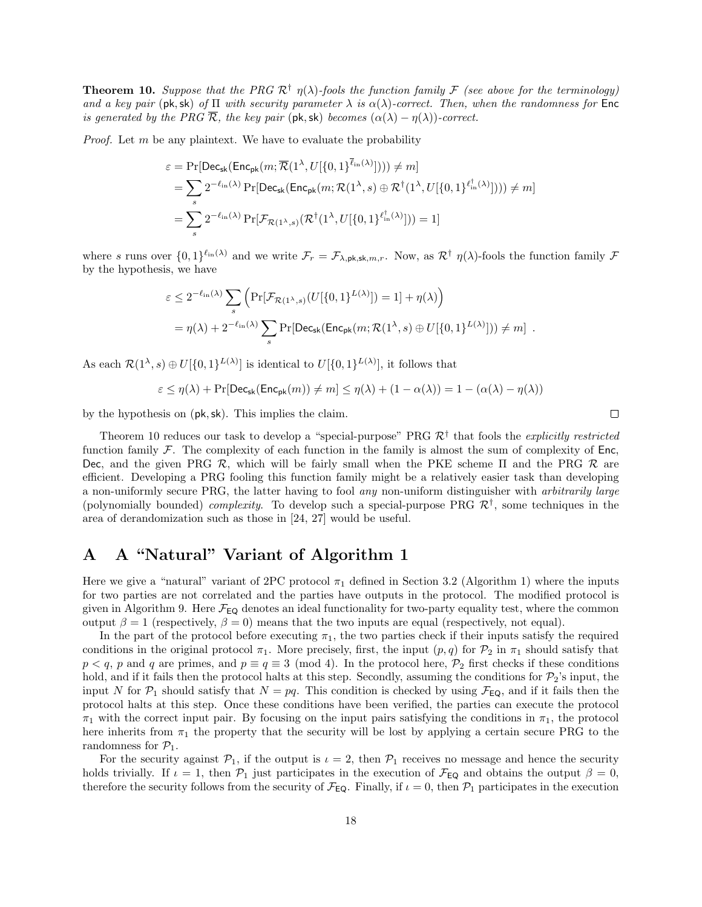**Theorem 10.** Suppose that the PRG  $\mathcal{R}^{\dagger}$   $n(\lambda)$ -fools the function family F (see above for the terminology) and a key pair (pk, sk) of  $\Pi$  with security parameter  $\lambda$  is  $\alpha(\lambda)$ -correct. Then, when the randomness for Enc is generated by the PRG R, the key pair (pk, sk) becomes  $(\alpha(\lambda) - \eta(\lambda))$ -correct.

*Proof.* Let  $m$  be any plaintext. We have to evaluate the probability

$$
\varepsilon = \Pr[\text{Dec}_{\textbf{sk}}(\text{Enc}_{\textbf{pk}}(m; \overline{\mathcal{R}}(1^{\lambda}, U[\{0, 1\}^{\ell_{\text{in}}(\lambda)}]))) \neq m]
$$
  
\n
$$
= \sum_{s} 2^{-\ell_{\text{in}}(\lambda)} \Pr[\text{Dec}_{\textbf{sk}}(\text{Enc}_{\textbf{pk}}(m; \mathcal{R}(1^{\lambda}, s) \oplus \mathcal{R}^{\dagger}(1^{\lambda}, U[\{0, 1\}^{\ell_{\text{in}}^{\dagger}(\lambda)}]))) \neq m]
$$
  
\n
$$
= \sum_{s} 2^{-\ell_{\text{in}}(\lambda)} \Pr[\mathcal{F}_{\mathcal{R}(1^{\lambda}, s)}(\mathcal{R}^{\dagger}(1^{\lambda}, U[\{0, 1\}^{\ell_{\text{in}}^{\dagger}(\lambda)}])) = 1]
$$

where s runs over  $\{0,1\}^{\ell_{\text{in}}(\lambda)}$  and we write  $\mathcal{F}_r = \mathcal{F}_{\lambda,\text{pk},\text{sk},m,r}$ . Now, as  $\mathcal{R}^{\dagger} \eta(\lambda)$ -fools the function family  $\mathcal F$ by the hypothesis, we have

$$
\varepsilon \leq 2^{-\ell_{\text{in}}(\lambda)} \sum_{s} \left( \Pr[\mathcal{F}_{\mathcal{R}(1^{\lambda},s)}(U[\{0,1\}^{L(\lambda)}]) = 1] + \eta(\lambda) \right)
$$
  
=  $\eta(\lambda) + 2^{-\ell_{\text{in}}(\lambda)} \sum_{s} \Pr[\text{Dec}_{\text{sk}}(\text{Enc}_{\text{pk}}(m; \mathcal{R}(1^{\lambda},s) \oplus U[\{0,1\}^{L(\lambda)}])) \neq m] .$ 

As each  $\mathcal{R}(1^{\lambda}, s) \oplus U[\{0,1\}^{L(\lambda)}]$  is identical to  $U[\{0,1\}^{L(\lambda)}]$ , it follows that

$$
\varepsilon \leq \eta(\lambda) + \Pr[\mathsf{Dec}_{\mathsf{sk}}(\mathsf{Enc}_{\mathsf{pk}}(m)) \neq m] \leq \eta(\lambda) + (1 - \alpha(\lambda)) = 1 - (\alpha(\lambda) - \eta(\lambda))
$$

by the hypothesis on (pk,sk). This implies the claim.

Theorem 10 reduces our task to develop a "special-purpose" PRG  $\mathcal{R}^{\dagger}$  that fools the *explicitly restricted* function family  $\mathcal F$ . The complexity of each function in the family is almost the sum of complexity of Enc. Dec, and the given PRG R, which will be fairly small when the PKE scheme  $\Pi$  and the PRG R are efficient. Developing a PRG fooling this function family might be a relatively easier task than developing a non-uniformly secure PRG, the latter having to fool any non-uniform distinguisher with arbitrarily large (polynomially bounded) *complexity*. To develop such a special-purpose PRG  $\mathcal{R}^{\dagger}$ , some techniques in the area of derandomization such as those in [24, 27] would be useful.

# A A "Natural" Variant of Algorithm 1

Here we give a "natural" variant of 2PC protocol  $\pi_1$  defined in Section 3.2 (Algorithm 1) where the inputs for two parties are not correlated and the parties have outputs in the protocol. The modified protocol is given in Algorithm 9. Here  $\mathcal{F}_{\text{EQ}}$  denotes an ideal functionality for two-party equality test, where the common output  $\beta = 1$  (respectively,  $\beta = 0$ ) means that the two inputs are equal (respectively, not equal).

In the part of the protocol before executing  $\pi_1$ , the two parties check if their inputs satisfy the required conditions in the original protocol  $\pi_1$ . More precisely, first, the input  $(p, q)$  for  $\mathcal{P}_2$  in  $\pi_1$  should satisfy that  $p < q$ , p and q are primes, and  $p \equiv q \equiv 3 \pmod{4}$ . In the protocol here,  $\mathcal{P}_2$  first checks if these conditions hold, and if it fails then the protocol halts at this step. Secondly, assuming the conditions for  $\mathcal{P}_2$ 's input, the input N for  $\mathcal{P}_1$  should satisfy that  $N = pq$ . This condition is checked by using  $\mathcal{F}_{\textsf{EQ}}$ , and if it fails then the protocol halts at this step. Once these conditions have been verified, the parties can execute the protocol  $\pi_1$  with the correct input pair. By focusing on the input pairs satisfying the conditions in  $\pi_1$ , the protocol here inherits from  $\pi_1$  the property that the security will be lost by applying a certain secure PRG to the randomness for  $\mathcal{P}_1$ .

For the security against  $\mathcal{P}_1$ , if the output is  $\iota = 2$ , then  $\mathcal{P}_1$  receives no message and hence the security holds trivially. If  $\iota = 1$ , then  $\mathcal{P}_1$  just participates in the execution of  $\mathcal{F}_{\text{EQ}}$  and obtains the output  $\beta = 0$ , therefore the security follows from the security of  $\mathcal{F}_{\text{EQ}}$ . Finally, if  $\iota = 0$ , then  $\mathcal{P}_1$  participates in the execution

 $\Box$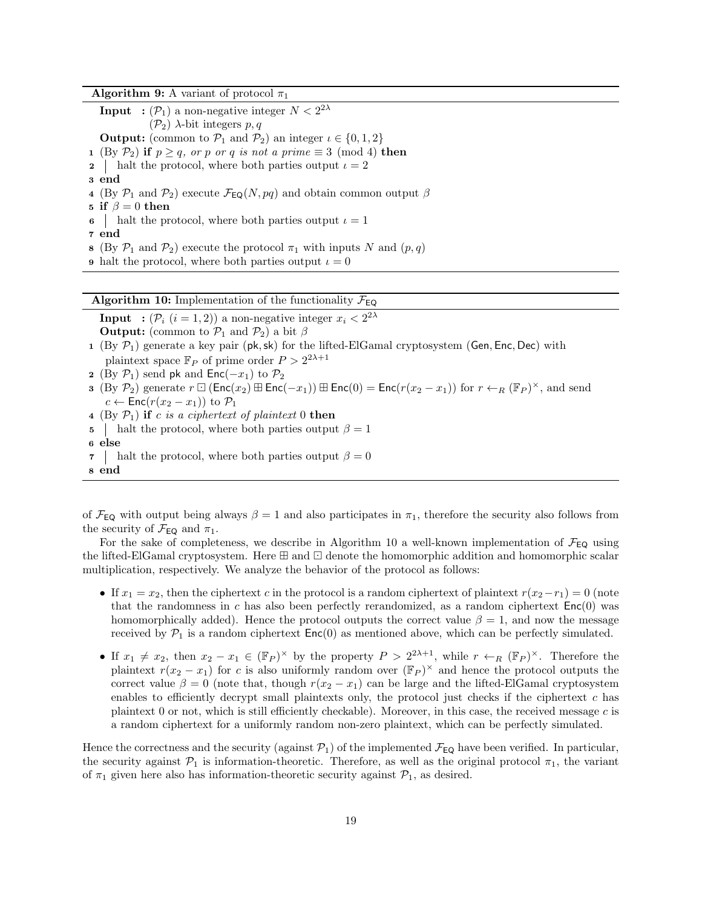| <b>Algorithm 9:</b> A variant of protocol $\pi_1$ |  |  |
|---------------------------------------------------|--|--|
|---------------------------------------------------|--|--|

**Input** :  $(\mathcal{P}_1)$  a non-negative integer  $N < 2^{2\lambda}$  $(\mathcal{P}_2)$   $\lambda$ -bit integers  $p, q$ **Output:** (common to  $\mathcal{P}_1$  and  $\mathcal{P}_2$ ) an integer  $\iota \in \{0, 1, 2\}$ 1 (By  $P_2$ ) if  $p \ge q$ , or p or q is not a prime  $\equiv 3 \pmod{4}$  then 2 halt the protocol, where both parties output  $\iota = 2$ 3 end 4 (By  $\mathcal{P}_1$  and  $\mathcal{P}_2$ ) execute  $\mathcal{F}_{\text{EQ}}(N, pq)$  and obtain common output  $\beta$ 5 if  $\beta = 0$  then 6 halt the protocol, where both parties output  $\iota = 1$ 7 end 8 (By  $\mathcal{P}_1$  and  $\mathcal{P}_2$ ) execute the protocol  $\pi_1$  with inputs N and  $(p, q)$ **9** halt the protocol, where both parties output  $\iota = 0$ 

Algorithm 10: Implementation of the functionality  $\mathcal{F}_{EQ}$ 

8 end

**Input** :  $(\mathcal{P}_i \ (i = 1, 2))$  a non-negative integer  $x_i < 2^{2\lambda}$ **Output:** (common to  $\mathcal{P}_1$  and  $\mathcal{P}_2$ ) a bit  $\beta$ 1 (By  $P_1$ ) generate a key pair (pk, sk) for the lifted-ElGamal cryptosystem (Gen, Enc, Dec) with plaintext space  $\mathbb{F}_P$  of prime order  $P > 2^{2\lambda + 1}$ 2 (By  $\mathcal{P}_1$ ) send pk and Enc( $-x_1$ ) to  $\mathcal{P}_2$ 3 (By  $\mathcal{P}_2$ ) generate  $r \Box (\text{Enc}(x_2) \boxplus \text{Enc}(-x_1)) \boxplus \text{Enc}(0) = \text{Enc}(r(x_2 - x_1))$  for  $r \leftarrow_R (\mathbb{F}_P)^{\times}$ , and send  $c \leftarrow \mathsf{Enc}(r(x_2 - x_1))$  to  $\mathcal{P}_1$ 4 (By  $\mathcal{P}_1$ ) if c is a ciphertext of plaintext 0 then 5 halt the protocol, where both parties output  $\beta = 1$ 6 else 7 halt the protocol, where both parties output  $\beta = 0$ 

of  $\mathcal{F}_{\text{EQ}}$  with output being always  $\beta = 1$  and also participates in  $\pi_1$ , therefore the security also follows from the security of  $\mathcal{F}_{\text{EQ}}$  and  $\pi_1$ .

For the sake of completeness, we describe in Algorithm 10 a well-known implementation of  $\mathcal{F}_{\text{EQ}}$  using the lifted-ElGamal cryptosystem. Here  $\boxplus$  and  $\Box$  denote the homomorphic addition and homomorphic scalar multiplication, respectively. We analyze the behavior of the protocol as follows:

- If  $x_1 = x_2$ , then the ciphertext c in the protocol is a random ciphertext of plaintext  $r(x_2-r_1) = 0$  (note that the randomness in c has also been perfectly rerandomized, as a random ciphertext  $Enc(0)$  was homomorphically added). Hence the protocol outputs the correct value  $\beta = 1$ , and now the message received by  $\mathcal{P}_1$  is a random ciphertext  $Enc(0)$  as mentioned above, which can be perfectly simulated.
- If  $x_1 \neq x_2$ , then  $x_2 x_1 \in (\mathbb{F}_P)^{\times}$  by the property  $P > 2^{2\lambda+1}$ , while  $r \leftarrow_R (\mathbb{F}_P)^{\times}$ . Therefore the plaintext  $r(x_2 - x_1)$  for c is also uniformly random over  $(\mathbb{F}_P)^{\times}$  and hence the protocol outputs the correct value  $\beta = 0$  (note that, though  $r(x_2 - x_1)$  can be large and the lifted-ElGamal cryptosystem enables to efficiently decrypt small plaintexts only, the protocol just checks if the ciphertext c has plaintext 0 or not, which is still efficiently checkable). Moreover, in this case, the received message c is a random ciphertext for a uniformly random non-zero plaintext, which can be perfectly simulated.

Hence the correctness and the security (against  $\mathcal{P}_1$ ) of the implemented  $\mathcal{F}_{\text{EQ}}$  have been verified. In particular, the security against  $\mathcal{P}_1$  is information-theoretic. Therefore, as well as the original protocol  $\pi_1$ , the variant of  $\pi_1$  given here also has information-theoretic security against  $\mathcal{P}_1$ , as desired.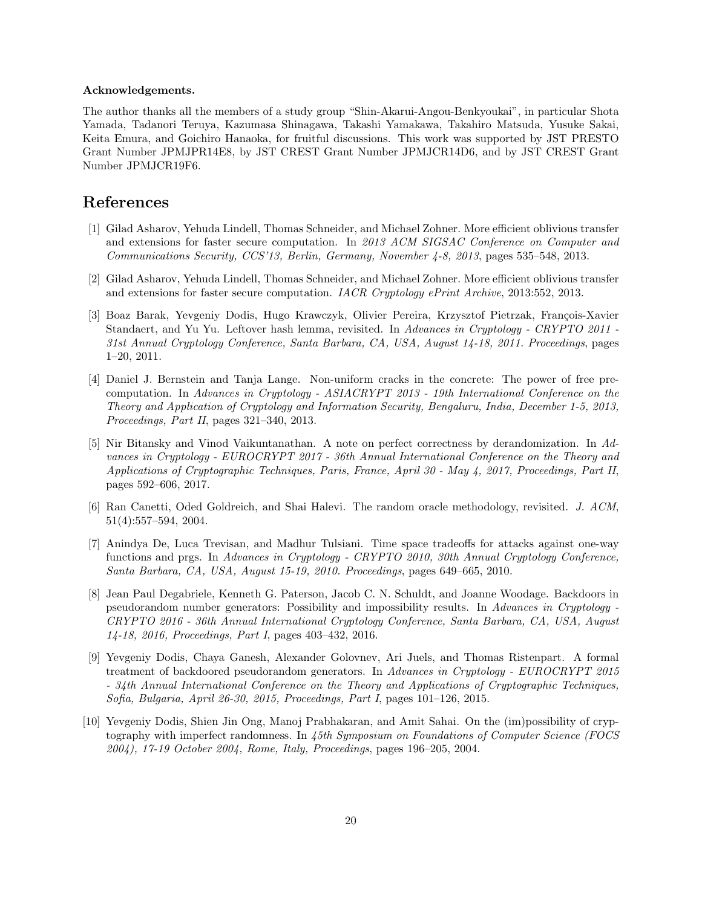#### Acknowledgements.

The author thanks all the members of a study group "Shin-Akarui-Angou-Benkyoukai", in particular Shota Yamada, Tadanori Teruya, Kazumasa Shinagawa, Takashi Yamakawa, Takahiro Matsuda, Yusuke Sakai, Keita Emura, and Goichiro Hanaoka, for fruitful discussions. This work was supported by JST PRESTO Grant Number JPMJPR14E8, by JST CREST Grant Number JPMJCR14D6, and by JST CREST Grant Number JPMJCR19F6.

### References

- [1] Gilad Asharov, Yehuda Lindell, Thomas Schneider, and Michael Zohner. More efficient oblivious transfer and extensions for faster secure computation. In 2013 ACM SIGSAC Conference on Computer and Communications Security, CCS'13, Berlin, Germany, November 4-8, 2013, pages 535–548, 2013.
- [2] Gilad Asharov, Yehuda Lindell, Thomas Schneider, and Michael Zohner. More efficient oblivious transfer and extensions for faster secure computation. IACR Cryptology ePrint Archive, 2013:552, 2013.
- [3] Boaz Barak, Yevgeniy Dodis, Hugo Krawczyk, Olivier Pereira, Krzysztof Pietrzak, François-Xavier Standaert, and Yu Yu. Leftover hash lemma, revisited. In Advances in Cryptology - CRYPTO 2011 - 31st Annual Cryptology Conference, Santa Barbara, CA, USA, August 14-18, 2011. Proceedings, pages 1–20, 2011.
- [4] Daniel J. Bernstein and Tanja Lange. Non-uniform cracks in the concrete: The power of free precomputation. In Advances in Cryptology - ASIACRYPT 2013 - 19th International Conference on the Theory and Application of Cryptology and Information Security, Bengaluru, India, December 1-5, 2013, Proceedings, Part II, pages 321–340, 2013.
- [5] Nir Bitansky and Vinod Vaikuntanathan. A note on perfect correctness by derandomization. In Advances in Cryptology - EUROCRYPT 2017 - 36th Annual International Conference on the Theory and Applications of Cryptographic Techniques, Paris, France, April 30 - May 4, 2017, Proceedings, Part II, pages 592–606, 2017.
- [6] Ran Canetti, Oded Goldreich, and Shai Halevi. The random oracle methodology, revisited. J. ACM, 51(4):557–594, 2004.
- [7] Anindya De, Luca Trevisan, and Madhur Tulsiani. Time space tradeoffs for attacks against one-way functions and prgs. In Advances in Cryptology - CRYPTO 2010, 30th Annual Cryptology Conference, Santa Barbara, CA, USA, August 15-19, 2010. Proceedings, pages 649–665, 2010.
- [8] Jean Paul Degabriele, Kenneth G. Paterson, Jacob C. N. Schuldt, and Joanne Woodage. Backdoors in pseudorandom number generators: Possibility and impossibility results. In Advances in Cryptology - CRYPTO 2016 - 36th Annual International Cryptology Conference, Santa Barbara, CA, USA, August 14-18, 2016, Proceedings, Part I, pages 403–432, 2016.
- [9] Yevgeniy Dodis, Chaya Ganesh, Alexander Golovnev, Ari Juels, and Thomas Ristenpart. A formal treatment of backdoored pseudorandom generators. In Advances in Cryptology - EUROCRYPT 2015 - 34th Annual International Conference on the Theory and Applications of Cryptographic Techniques, Sofia, Bulgaria, April 26-30, 2015, Proceedings, Part I, pages 101–126, 2015.
- [10] Yevgeniy Dodis, Shien Jin Ong, Manoj Prabhakaran, and Amit Sahai. On the (im)possibility of cryptography with imperfect randomness. In 45th Symposium on Foundations of Computer Science (FOCS 2004), 17-19 October 2004, Rome, Italy, Proceedings, pages 196–205, 2004.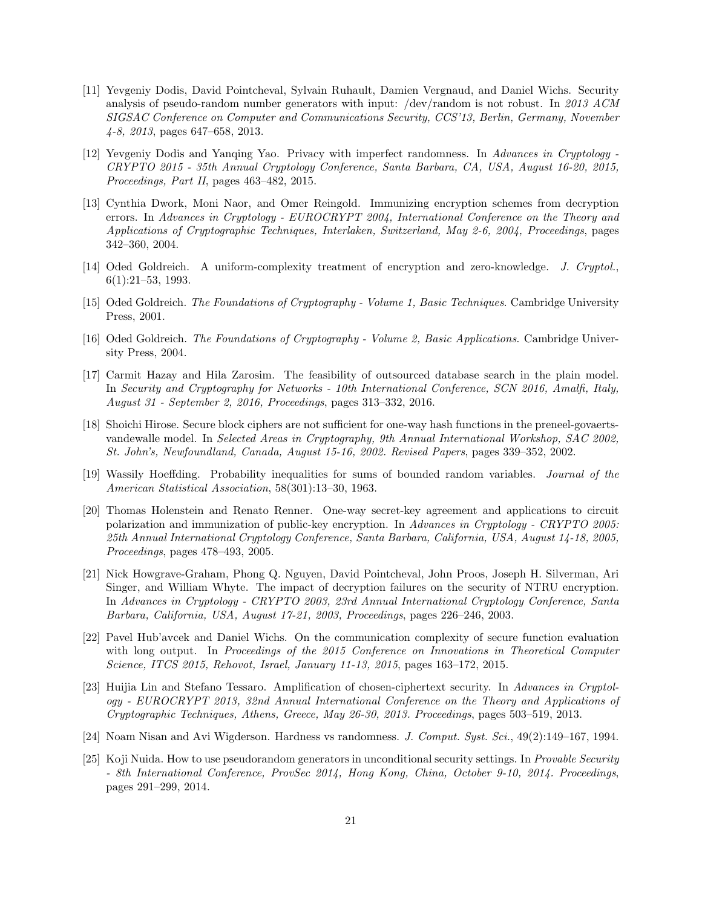- [11] Yevgeniy Dodis, David Pointcheval, Sylvain Ruhault, Damien Vergnaud, and Daniel Wichs. Security analysis of pseudo-random number generators with input: /dev/random is not robust. In 2013 ACM SIGSAC Conference on Computer and Communications Security, CCS'13, Berlin, Germany, November 4-8, 2013, pages 647–658, 2013.
- [12] Yevgeniy Dodis and Yanqing Yao. Privacy with imperfect randomness. In Advances in Cryptology CRYPTO 2015 - 35th Annual Cryptology Conference, Santa Barbara, CA, USA, August 16-20, 2015, Proceedings, Part II, pages 463–482, 2015.
- [13] Cynthia Dwork, Moni Naor, and Omer Reingold. Immunizing encryption schemes from decryption errors. In Advances in Cryptology - EUROCRYPT 2004, International Conference on the Theory and Applications of Cryptographic Techniques, Interlaken, Switzerland, May 2-6, 2004, Proceedings, pages 342–360, 2004.
- [14] Oded Goldreich. A uniform-complexity treatment of encryption and zero-knowledge. J. Cryptol.,  $6(1):21-53, 1993.$
- [15] Oded Goldreich. The Foundations of Cryptography Volume 1, Basic Techniques. Cambridge University Press, 2001.
- [16] Oded Goldreich. The Foundations of Cryptography Volume 2, Basic Applications. Cambridge University Press, 2004.
- [17] Carmit Hazay and Hila Zarosim. The feasibility of outsourced database search in the plain model. In Security and Cryptography for Networks - 10th International Conference, SCN 2016, Amalfi, Italy, August 31 - September 2, 2016, Proceedings, pages 313–332, 2016.
- [18] Shoichi Hirose. Secure block ciphers are not sufficient for one-way hash functions in the preneel-govaertsvandewalle model. In Selected Areas in Cryptography, 9th Annual International Workshop, SAC 2002, St. John's, Newfoundland, Canada, August 15-16, 2002. Revised Papers, pages 339–352, 2002.
- [19] Wassily Hoeffding. Probability inequalities for sums of bounded random variables. Journal of the American Statistical Association, 58(301):13–30, 1963.
- [20] Thomas Holenstein and Renato Renner. One-way secret-key agreement and applications to circuit polarization and immunization of public-key encryption. In Advances in Cryptology - CRYPTO 2005: 25th Annual International Cryptology Conference, Santa Barbara, California, USA, August 14-18, 2005, Proceedings, pages 478–493, 2005.
- [21] Nick Howgrave-Graham, Phong Q. Nguyen, David Pointcheval, John Proos, Joseph H. Silverman, Ari Singer, and William Whyte. The impact of decryption failures on the security of NTRU encryption. In Advances in Cryptology - CRYPTO 2003, 23rd Annual International Cryptology Conference, Santa Barbara, California, USA, August 17-21, 2003, Proceedings, pages 226–246, 2003.
- [22] Pavel Hub'avcek and Daniel Wichs. On the communication complexity of secure function evaluation with long output. In Proceedings of the 2015 Conference on Innovations in Theoretical Computer Science, ITCS 2015, Rehovot, Israel, January 11-13, 2015, pages 163–172, 2015.
- [23] Huijia Lin and Stefano Tessaro. Amplification of chosen-ciphertext security. In Advances in Cryptology - EUROCRYPT 2013, 32nd Annual International Conference on the Theory and Applications of Cryptographic Techniques, Athens, Greece, May 26-30, 2013. Proceedings, pages 503–519, 2013.
- [24] Noam Nisan and Avi Wigderson. Hardness vs randomness. J. Comput. Syst. Sci., 49(2):149–167, 1994.
- [25] Koji Nuida. How to use pseudorandom generators in unconditional security settings. In Provable Security - 8th International Conference, ProvSec 2014, Hong Kong, China, October 9-10, 2014. Proceedings, pages 291–299, 2014.